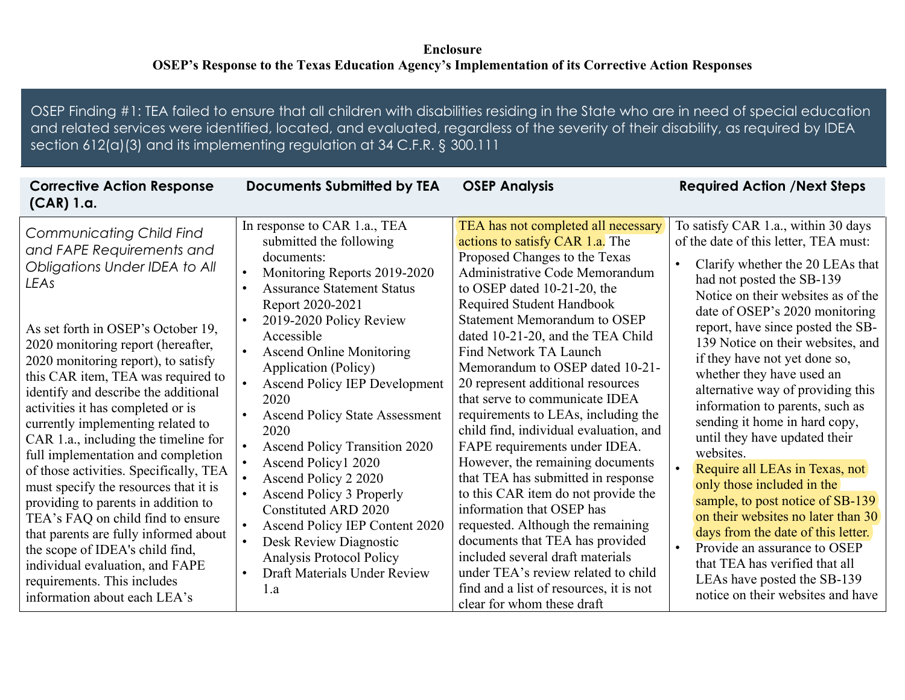## **Enclosure OSEP's Response to the Texas Education Agency's Implementation of its Corrective Action Responses**

OSEP Finding #1: TEA failed to ensure that all children with disabilities residing in the State who are in need of special education and related services were identified, located, and evaluated, regardless of the severity of their disability, as required by IDEA section 612(a)(3) and its implementing regulation at 34 C.F.R. § 300.111

| <b>Corrective Action Response</b><br>$(CAR)$ 1.a.                                                                                                                                                                                                                                                                                                     | <b>Documents Submitted by TEA</b>                                                                                                                                                                                                                                                   | <b>OSEP Analysis</b>                                                                                                                                                                                                                                                                                                                                                   | <b>Required Action /Next Steps</b>                                                                                                                                                                                                                                                                                 |
|-------------------------------------------------------------------------------------------------------------------------------------------------------------------------------------------------------------------------------------------------------------------------------------------------------------------------------------------------------|-------------------------------------------------------------------------------------------------------------------------------------------------------------------------------------------------------------------------------------------------------------------------------------|------------------------------------------------------------------------------------------------------------------------------------------------------------------------------------------------------------------------------------------------------------------------------------------------------------------------------------------------------------------------|--------------------------------------------------------------------------------------------------------------------------------------------------------------------------------------------------------------------------------------------------------------------------------------------------------------------|
| <b>Communicating Child Find</b><br>and FAPE Requirements and<br>Obligations Under IDEA to All<br>LEAs                                                                                                                                                                                                                                                 | In response to CAR 1.a., TEA<br>submitted the following<br>documents:<br>Monitoring Reports 2019-2020<br>$\bullet$<br><b>Assurance Statement Status</b><br>$\bullet$<br>Report 2020-2021<br>2019-2020 Policy Review<br>$\bullet$                                                    | TEA has not completed all necessary<br>actions to satisfy CAR 1.a. The<br>Proposed Changes to the Texas<br>Administrative Code Memorandum<br>to OSEP dated $10-21-20$ , the<br>Required Student Handbook<br><b>Statement Memorandum to OSEP</b>                                                                                                                        | To satisfy CAR 1.a., within 30 days<br>of the date of this letter, TEA must:<br>Clarify whether the 20 LEAs that<br>had not posted the SB-139<br>Notice on their websites as of the<br>date of OSEP's 2020 monitoring<br>report, have since posted the SB-                                                         |
| As set forth in OSEP's October 19,<br>2020 monitoring report (hereafter,<br>2020 monitoring report), to satisfy<br>this CAR item, TEA was required to<br>identify and describe the additional<br>activities it has completed or is<br>currently implementing related to<br>CAR 1.a., including the timeline for<br>full implementation and completion | Accessible<br><b>Ascend Online Monitoring</b><br>$\bullet$<br>Application (Policy)<br><b>Ascend Policy IEP Development</b><br>2020<br><b>Ascend Policy State Assessment</b><br>2020<br><b>Ascend Policy Transition 2020</b>                                                         | dated 10-21-20, and the TEA Child<br><b>Find Network TA Launch</b><br>Memorandum to OSEP dated 10-21-<br>20 represent additional resources<br>that serve to communicate IDEA<br>requirements to LEAs, including the<br>child find, individual evaluation, and<br>FAPE requirements under IDEA.                                                                         | 139 Notice on their websites, and<br>if they have not yet done so,<br>whether they have used an<br>alternative way of providing this<br>information to parents, such as<br>sending it home in hard copy,<br>until they have updated their<br>websites.                                                             |
| of those activities. Specifically, TEA<br>must specify the resources that it is<br>providing to parents in addition to<br>TEA's FAQ on child find to ensure<br>that parents are fully informed about<br>the scope of IDEA's child find,<br>individual evaluation, and FAPE<br>requirements. This includes<br>information about each LEA's             | Ascend Policy1 2020<br>Ascend Policy 2 2020<br><b>Ascend Policy 3 Properly</b><br>$\bullet$<br>Constituted ARD 2020<br>Ascend Policy IEP Content 2020<br>Desk Review Diagnostic<br>$\bullet$<br><b>Analysis Protocol Policy</b><br>Draft Materials Under Review<br>$\bullet$<br>1.a | However, the remaining documents<br>that TEA has submitted in response<br>to this CAR item do not provide the<br>information that OSEP has<br>requested. Although the remaining<br>documents that TEA has provided<br>included several draft materials<br>under TEA's review related to child<br>find and a list of resources, it is not<br>clear for whom these draft | Require all LEAs in Texas, not<br>only those included in the<br>sample, to post notice of SB-139<br>on their websites no later than 30<br>days from the date of this letter.<br>Provide an assurance to OSEP<br>that TEA has verified that all<br>LEAs have posted the SB-139<br>notice on their websites and have |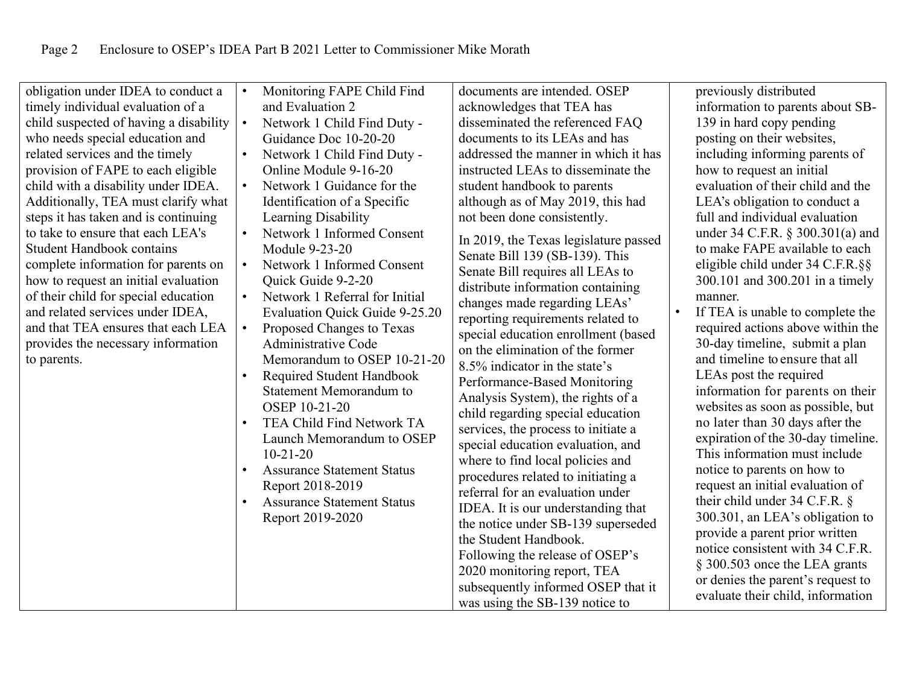| obligation under IDEA to conduct a<br>timely individual evaluation of a<br>child suspected of having a disability<br>who needs special education and<br>related services and the timely<br>provision of FAPE to each eligible<br>child with a disability under IDEA.<br>Additionally, TEA must clarify what<br>steps it has taken and is continuing<br>to take to ensure that each LEA's<br><b>Student Handbook contains</b><br>complete information for parents on | $\bullet$<br>$\bullet$<br>$\bullet$ | Monitoring FAPE Child Find<br>and Evaluation 2<br>Network 1 Child Find Duty -<br>Guidance Doc 10-20-20<br>Network 1 Child Find Duty -<br>Online Module 9-16-20<br>Network 1 Guidance for the<br>Identification of a Specific<br>Learning Disability<br>Network 1 Informed Consent<br>Module 9-23-20<br>Network 1 Informed Consent | documents are intended. OSEP<br>acknowledges that TEA has<br>disseminated the referenced FAQ<br>documents to its LEAs and has<br>addressed the manner in which it has<br>instructed LEAs to disseminate the<br>student handbook to parents<br>although as of May 2019, this had<br>not been done consistently.<br>In 2019, the Texas legislature passed<br>Senate Bill 139 (SB-139). This                                                                                                                                                                                        | previously distributed<br>information to parents about SB-<br>139 in hard copy pending<br>posting on their websites,<br>including informing parents of<br>how to request an initial<br>evaluation of their child and the<br>LEA's obligation to conduct a<br>full and individual evaluation<br>under 34 C.F.R. § 300.301(a) and<br>to make FAPE available to each<br>eligible child under 34 C.F.R. §§                                                                                                                                                               |
|---------------------------------------------------------------------------------------------------------------------------------------------------------------------------------------------------------------------------------------------------------------------------------------------------------------------------------------------------------------------------------------------------------------------------------------------------------------------|-------------------------------------|-----------------------------------------------------------------------------------------------------------------------------------------------------------------------------------------------------------------------------------------------------------------------------------------------------------------------------------|----------------------------------------------------------------------------------------------------------------------------------------------------------------------------------------------------------------------------------------------------------------------------------------------------------------------------------------------------------------------------------------------------------------------------------------------------------------------------------------------------------------------------------------------------------------------------------|----------------------------------------------------------------------------------------------------------------------------------------------------------------------------------------------------------------------------------------------------------------------------------------------------------------------------------------------------------------------------------------------------------------------------------------------------------------------------------------------------------------------------------------------------------------------|
| to parents.                                                                                                                                                                                                                                                                                                                                                                                                                                                         | $\bullet$<br>$\bullet$              | Memorandum to OSEP 10-21-20<br>Required Student Handbook<br><b>Statement Memorandum to</b><br><b>OSEP 10-21-20</b><br>TEA Child Find Network TA<br>Launch Memorandum to OSEP<br>$10-21-20$<br><b>Assurance Statement Status</b><br>Report 2018-2019<br><b>Assurance Statement Status</b><br>Report 2019-2020                      | 8.5% indicator in the state's<br>Performance-Based Monitoring<br>Analysis System), the rights of a<br>child regarding special education<br>services, the process to initiate a<br>special education evaluation, and<br>where to find local policies and<br>procedures related to initiating a<br>referral for an evaluation under<br>IDEA. It is our understanding that<br>the notice under SB-139 superseded<br>the Student Handbook.<br>Following the release of OSEP's<br>2020 monitoring report, TEA<br>subsequently informed OSEP that it<br>was using the SB-139 notice to | and timeline to ensure that all<br>LEAs post the required<br>information for parents on their<br>websites as soon as possible, but<br>no later than 30 days after the<br>expiration of the 30-day timeline.<br>This information must include<br>notice to parents on how to<br>request an initial evaluation of<br>their child under 34 C.F.R. §<br>300.301, an LEA's obligation to<br>provide a parent prior written<br>notice consistent with 34 C.F.R.<br>§ 300.503 once the LEA grants<br>or denies the parent's request to<br>evaluate their child, information |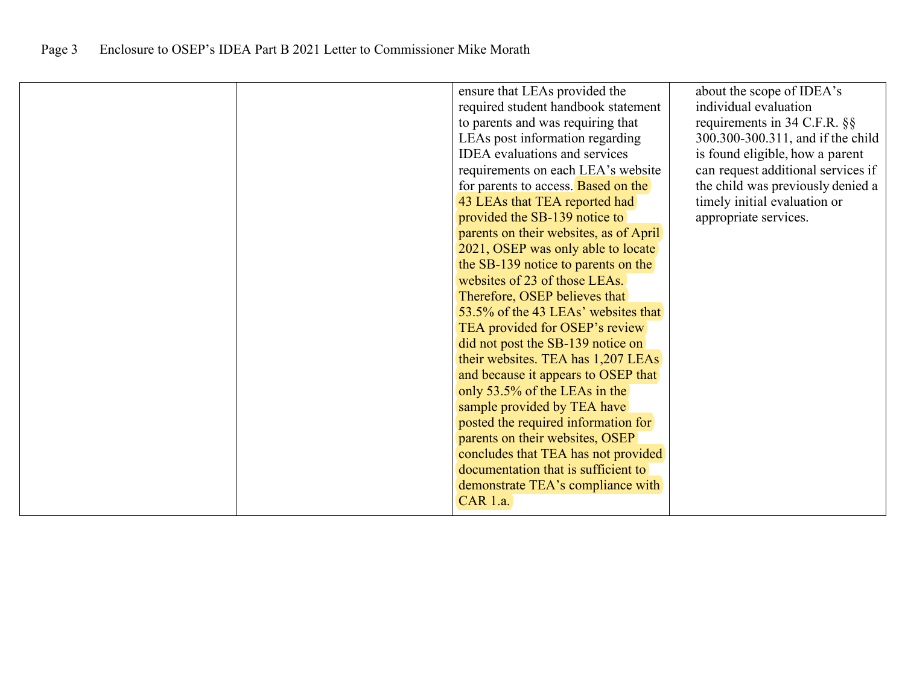|  | ensure that LEAs provided the              | about the scope of IDEA's          |
|--|--------------------------------------------|------------------------------------|
|  | required student handbook statement        | individual evaluation              |
|  | to parents and was requiring that          | requirements in 34 C.F.R. §§       |
|  | LEAs post information regarding            | 300.300-300.311, and if the child  |
|  | <b>IDEA</b> evaluations and services       | is found eligible, how a parent    |
|  | requirements on each LEA's website         | can request additional services if |
|  | for parents to access. <b>Based on the</b> | the child was previously denied a  |
|  | 43 LEAs that TEA reported had              | timely initial evaluation or       |
|  | provided the SB-139 notice to              | appropriate services.              |
|  | parents on their websites, as of April     |                                    |
|  | 2021, OSEP was only able to locate         |                                    |
|  | the SB-139 notice to parents on the        |                                    |
|  | websites of 23 of those LEAs.              |                                    |
|  | Therefore, OSEP believes that              |                                    |
|  | 53.5% of the 43 LEAs' websites that        |                                    |
|  | TEA provided for OSEP's review             |                                    |
|  | did not post the SB-139 notice on          |                                    |
|  | their websites. TEA has 1,207 LEAs         |                                    |
|  | and because it appears to OSEP that        |                                    |
|  | only 53.5% of the LEAs in the              |                                    |
|  | sample provided by TEA have                |                                    |
|  | posted the required information for        |                                    |
|  | parents on their websites, OSEP            |                                    |
|  | concludes that TEA has not provided        |                                    |
|  | documentation that is sufficient to        |                                    |
|  | demonstrate TEA's compliance with          |                                    |
|  | CAR 1.a.                                   |                                    |
|  |                                            |                                    |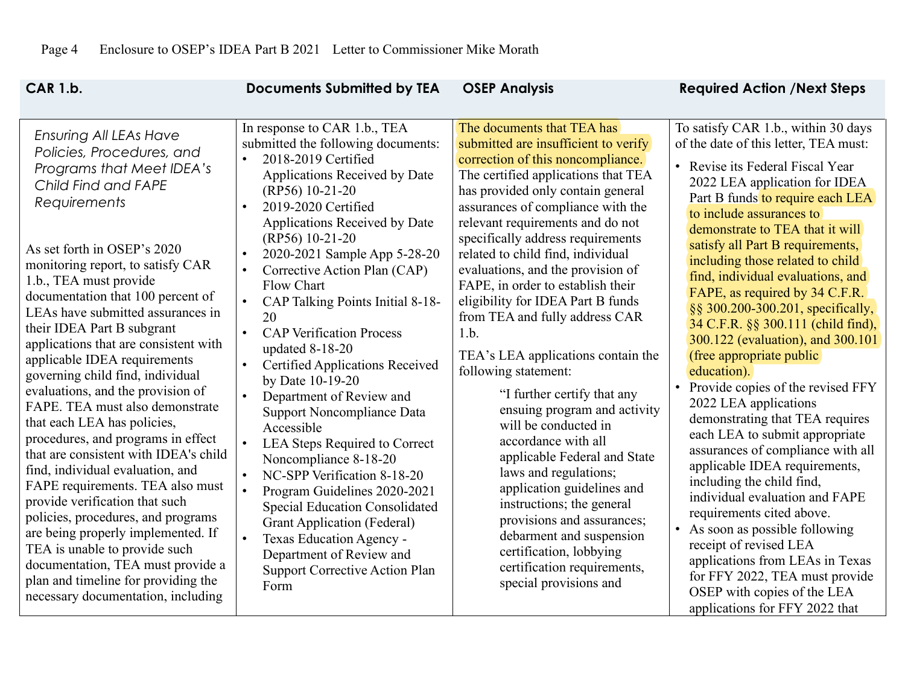| <b>CAR 1.b.</b>                                                                                                                                                                                                                                                                                                                                                                                                                                                                                                                                                                                                                                                                                                                                                                                                                                                                                                                                                                         | <b>Documents Submitted by TEA</b>                                                                                                                                                                                                                                                                                                                                                                                                                                                                                                                                                                                                                                                                                                                                                                                                                                                                                              | <b>OSEP Analysis</b>                                                                                                                                                                                                                                                                                                                                                                                                                                                                                                                                                                                                                                                                                                                                                                                                                                                                                                                          | <b>Required Action /Next Steps</b>                                                                                                                                                                                                                                                                                                                                                                                                                                                                                                                                                                                                                                                                                                                                                                                                                                                                                                                                                                                                                                      |
|-----------------------------------------------------------------------------------------------------------------------------------------------------------------------------------------------------------------------------------------------------------------------------------------------------------------------------------------------------------------------------------------------------------------------------------------------------------------------------------------------------------------------------------------------------------------------------------------------------------------------------------------------------------------------------------------------------------------------------------------------------------------------------------------------------------------------------------------------------------------------------------------------------------------------------------------------------------------------------------------|--------------------------------------------------------------------------------------------------------------------------------------------------------------------------------------------------------------------------------------------------------------------------------------------------------------------------------------------------------------------------------------------------------------------------------------------------------------------------------------------------------------------------------------------------------------------------------------------------------------------------------------------------------------------------------------------------------------------------------------------------------------------------------------------------------------------------------------------------------------------------------------------------------------------------------|-----------------------------------------------------------------------------------------------------------------------------------------------------------------------------------------------------------------------------------------------------------------------------------------------------------------------------------------------------------------------------------------------------------------------------------------------------------------------------------------------------------------------------------------------------------------------------------------------------------------------------------------------------------------------------------------------------------------------------------------------------------------------------------------------------------------------------------------------------------------------------------------------------------------------------------------------|-------------------------------------------------------------------------------------------------------------------------------------------------------------------------------------------------------------------------------------------------------------------------------------------------------------------------------------------------------------------------------------------------------------------------------------------------------------------------------------------------------------------------------------------------------------------------------------------------------------------------------------------------------------------------------------------------------------------------------------------------------------------------------------------------------------------------------------------------------------------------------------------------------------------------------------------------------------------------------------------------------------------------------------------------------------------------|
| <b>Ensuring All LEAs Have</b><br>Policies, Procedures, and<br>Programs that Meet IDEA's<br>Child Find and FAPE<br><b>Requirements</b><br>As set forth in OSEP's 2020<br>monitoring report, to satisfy CAR<br>1.b., TEA must provide<br>documentation that 100 percent of<br>LEAs have submitted assurances in<br>their IDEA Part B subgrant<br>applications that are consistent with<br>applicable IDEA requirements<br>governing child find, individual<br>evaluations, and the provision of<br>FAPE. TEA must also demonstrate<br>that each LEA has policies,<br>procedures, and programs in effect<br>that are consistent with IDEA's child<br>find, individual evaluation, and<br>FAPE requirements. TEA also must<br>provide verification that such<br>policies, procedures, and programs<br>are being properly implemented. If<br>TEA is unable to provide such<br>documentation, TEA must provide a<br>plan and timeline for providing the<br>necessary documentation, including | In response to CAR 1.b., TEA<br>submitted the following documents:<br>2018-2019 Certified<br>Applications Received by Date<br>(RP56) 10-21-20<br>2019-2020 Certified<br>$\bullet$<br>Applications Received by Date<br>(RP56) 10-21-20<br>2020-2021 Sample App 5-28-20<br>$\bullet$<br>Corrective Action Plan (CAP)<br>$\bullet$<br>Flow Chart<br>CAP Talking Points Initial 8-18-<br>20<br><b>CAP Verification Process</b><br>$\bullet$<br>updated 8-18-20<br><b>Certified Applications Received</b><br>by Date 10-19-20<br>Department of Review and<br>Support Noncompliance Data<br>Accessible<br>LEA Steps Required to Correct<br>Noncompliance 8-18-20<br>NC-SPP Verification 8-18-20<br>Program Guidelines 2020-2021<br>$\bullet$<br><b>Special Education Consolidated</b><br><b>Grant Application (Federal)</b><br>Texas Education Agency -<br>Department of Review and<br><b>Support Corrective Action Plan</b><br>Form | The documents that TEA has<br>submitted are insufficient to verify<br>correction of this noncompliance.<br>The certified applications that TEA<br>has provided only contain general<br>assurances of compliance with the<br>relevant requirements and do not<br>specifically address requirements<br>related to child find, individual<br>evaluations, and the provision of<br>FAPE, in order to establish their<br>eligibility for IDEA Part B funds<br>from TEA and fully address CAR<br>1.b.<br>TEA's LEA applications contain the<br>following statement:<br>"I further certify that any<br>ensuing program and activity<br>will be conducted in<br>accordance with all<br>applicable Federal and State<br>laws and regulations;<br>application guidelines and<br>instructions; the general<br>provisions and assurances;<br>debarment and suspension<br>certification, lobbying<br>certification requirements,<br>special provisions and | To satisfy CAR 1.b., within 30 days<br>of the date of this letter, TEA must:<br>• Revise its Federal Fiscal Year<br>2022 LEA application for IDEA<br>Part B funds to require each LEA<br>to include assurances to<br>demonstrate to TEA that it will<br>satisfy all Part B requirements,<br>including those related to child<br>find, individual evaluations, and<br>FAPE, as required by 34 C.F.R.<br>§§ 300.200-300.201, specifically,<br>34 C.F.R. §§ 300.111 (child find),<br>300.122 (evaluation), and 300.101<br>(free appropriate public)<br>education).<br>Provide copies of the revised FFY<br>2022 LEA applications<br>demonstrating that TEA requires<br>each LEA to submit appropriate<br>assurances of compliance with all<br>applicable IDEA requirements,<br>including the child find,<br>individual evaluation and FAPE<br>requirements cited above.<br>• As soon as possible following<br>receipt of revised LEA<br>applications from LEAs in Texas<br>for FFY 2022, TEA must provide<br>OSEP with copies of the LEA<br>applications for FFY 2022 that |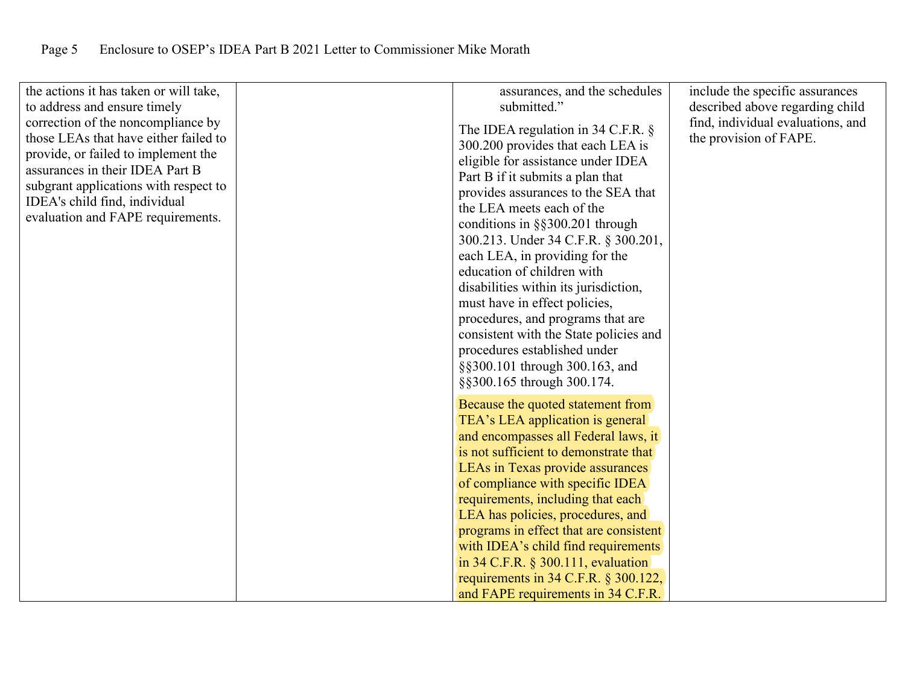| the actions it has taken or will take,<br>to address and ensure timely<br>correction of the noncompliance by<br>those LEAs that have either failed to<br>provide, or failed to implement the<br>assurances in their IDEA Part B<br>subgrant applications with respect to<br>IDEA's child find, individual<br>evaluation and FAPE requirements. | assurances, and the schedules<br>submitted."<br>The IDEA regulation in 34 C.F.R. $\S$<br>300.200 provides that each LEA is<br>eligible for assistance under IDEA<br>Part B if it submits a plan that<br>provides assurances to the SEA that<br>the LEA meets each of the<br>conditions in §§300.201 through<br>300.213. Under 34 C.F.R. § 300.201,                                                                                                                                                                 | include the specific assurances<br>described above regarding child<br>find, individual evaluations, and<br>the provision of FAPE. |
|------------------------------------------------------------------------------------------------------------------------------------------------------------------------------------------------------------------------------------------------------------------------------------------------------------------------------------------------|--------------------------------------------------------------------------------------------------------------------------------------------------------------------------------------------------------------------------------------------------------------------------------------------------------------------------------------------------------------------------------------------------------------------------------------------------------------------------------------------------------------------|-----------------------------------------------------------------------------------------------------------------------------------|
|                                                                                                                                                                                                                                                                                                                                                | each LEA, in providing for the<br>education of children with<br>disabilities within its jurisdiction,<br>must have in effect policies,<br>procedures, and programs that are<br>consistent with the State policies and<br>procedures established under<br>§§300.101 through 300.163, and<br>§§300.165 through 300.174.                                                                                                                                                                                              |                                                                                                                                   |
|                                                                                                                                                                                                                                                                                                                                                | Because the quoted statement from<br>TEA's LEA application is general<br>and encompasses all Federal laws, it<br>is not sufficient to demonstrate that<br>LEAs in Texas provide assurances<br>of compliance with specific IDEA<br>requirements, including that each<br>LEA has policies, procedures, and<br>programs in effect that are consistent<br>with IDEA's child find requirements<br>in $34$ C.F.R. § $300.111$ , evaluation<br>requirements in 34 C.F.R. § 300.122,<br>and FAPE requirements in 34 C.F.R. |                                                                                                                                   |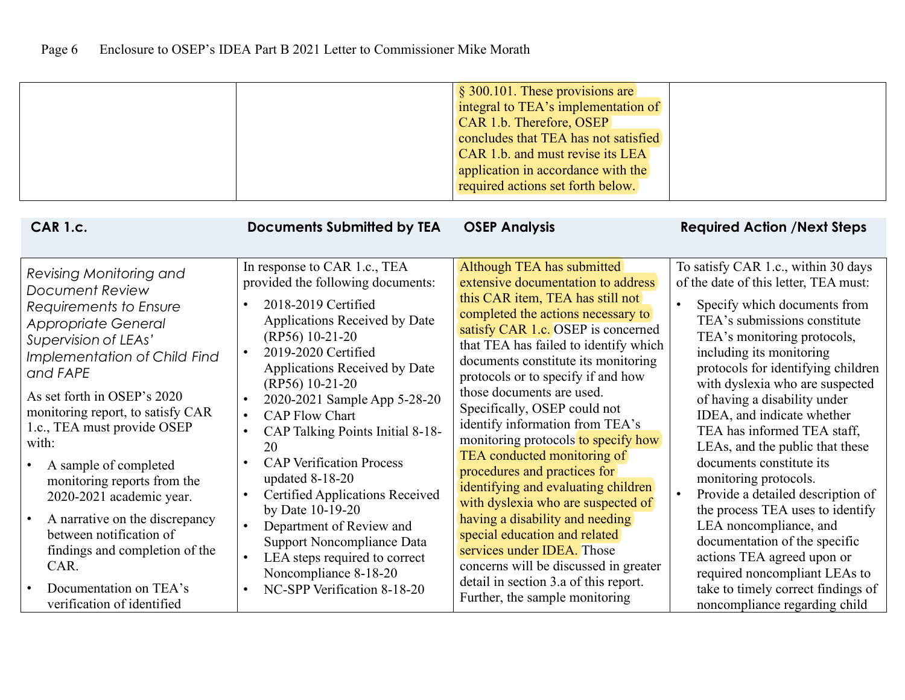|                                                                                                                                                                                                                                                                                                                                                                                                                                                                               |                                                                                                                                                                                                                                                                                                                                                                                                                                                                                                                                                                                                                        | § 300.101. These provisions are<br>integral to TEA's implementation of<br>CAR 1.b. Therefore, OSEP<br>concludes that TEA has not satisfied<br>CAR 1.b. and must revise its LEA<br>application in accordance with the<br>required actions set forth below.                                                                                                                                                                                                                                                                                                                                                                                                                                                                                                                     |                                                                                                                                                                                                                                                                                                                                                                                                                                                                                                                                                                                                                                                                          |
|-------------------------------------------------------------------------------------------------------------------------------------------------------------------------------------------------------------------------------------------------------------------------------------------------------------------------------------------------------------------------------------------------------------------------------------------------------------------------------|------------------------------------------------------------------------------------------------------------------------------------------------------------------------------------------------------------------------------------------------------------------------------------------------------------------------------------------------------------------------------------------------------------------------------------------------------------------------------------------------------------------------------------------------------------------------------------------------------------------------|-------------------------------------------------------------------------------------------------------------------------------------------------------------------------------------------------------------------------------------------------------------------------------------------------------------------------------------------------------------------------------------------------------------------------------------------------------------------------------------------------------------------------------------------------------------------------------------------------------------------------------------------------------------------------------------------------------------------------------------------------------------------------------|--------------------------------------------------------------------------------------------------------------------------------------------------------------------------------------------------------------------------------------------------------------------------------------------------------------------------------------------------------------------------------------------------------------------------------------------------------------------------------------------------------------------------------------------------------------------------------------------------------------------------------------------------------------------------|
| <b>CAR 1.c.</b>                                                                                                                                                                                                                                                                                                                                                                                                                                                               | <b>Documents Submitted by TEA</b>                                                                                                                                                                                                                                                                                                                                                                                                                                                                                                                                                                                      | <b>OSEP Analysis</b>                                                                                                                                                                                                                                                                                                                                                                                                                                                                                                                                                                                                                                                                                                                                                          | <b>Required Action /Next Steps</b>                                                                                                                                                                                                                                                                                                                                                                                                                                                                                                                                                                                                                                       |
| Revising Monitoring and<br>Document Review<br>Requirements to Ensure<br><b>Appropriate General</b><br>Supervision of LEAs'<br>Implementation of Child Find<br>and FAPE<br>As set forth in OSEP's 2020<br>monitoring report, to satisfy CAR<br>1.c., TEA must provide OSEP<br>with:<br>A sample of completed<br>monitoring reports from the<br>2020-2021 academic year.<br>A narrative on the discrepancy<br>between notification of<br>findings and completion of the<br>CAR. | In response to CAR 1.c., TEA<br>provided the following documents:<br>2018-2019 Certified<br>$\bullet$<br>Applications Received by Date<br>(RP56) 10-21-20<br>2019-2020 Certified<br>$\bullet$<br>Applications Received by Date<br>(RP56) 10-21-20<br>2020-2021 Sample App 5-28-20<br><b>CAP Flow Chart</b><br>CAP Talking Points Initial 8-18-<br>$\bullet$<br>20<br><b>CAP Verification Process</b><br>updated 8-18-20<br><b>Certified Applications Received</b><br>$\bullet$<br>by Date 10-19-20<br>Department of Review and<br>Support Noncompliance Data<br>LEA steps required to correct<br>Noncompliance 8-18-20 | Although TEA has submitted<br>extensive documentation to address<br>this CAR item, TEA has still not<br>completed the actions necessary to<br>satisfy CAR 1.c. OSEP is concerned<br>that TEA has failed to identify which<br>documents constitute its monitoring<br>protocols or to specify if and how<br>those documents are used.<br>Specifically, OSEP could not<br>identify information from TEA's<br>monitoring protocols to specify how<br>TEA conducted monitoring of<br>procedures and practices for<br>identifying and evaluating children<br>with dyslexia who are suspected of<br>having a disability and needing<br>special education and related<br>services under IDEA. Those<br>concerns will be discussed in greater<br>detail in section 3.a of this report. | To satisfy CAR 1.c., within 30 days<br>of the date of this letter, TEA must:<br>Specify which documents from<br>TEA's submissions constitute<br>TEA's monitoring protocols,<br>including its monitoring<br>protocols for identifying children<br>with dyslexia who are suspected<br>of having a disability under<br>IDEA, and indicate whether<br>TEA has informed TEA staff,<br>LEAs, and the public that these<br>documents constitute its<br>monitoring protocols.<br>Provide a detailed description of<br>the process TEA uses to identify<br>LEA noncompliance, and<br>documentation of the specific<br>actions TEA agreed upon or<br>required noncompliant LEAs to |
| Documentation on TEA's<br>verification of identified                                                                                                                                                                                                                                                                                                                                                                                                                          | NC-SPP Verification 8-18-20                                                                                                                                                                                                                                                                                                                                                                                                                                                                                                                                                                                            | Further, the sample monitoring                                                                                                                                                                                                                                                                                                                                                                                                                                                                                                                                                                                                                                                                                                                                                | take to timely correct findings of<br>noncompliance regarding child                                                                                                                                                                                                                                                                                                                                                                                                                                                                                                                                                                                                      |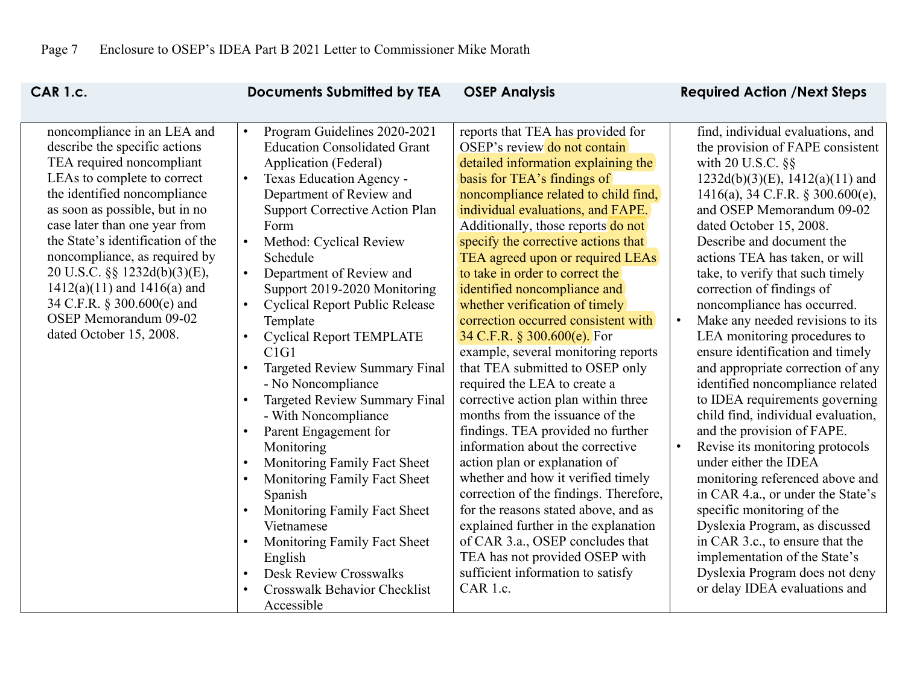| <b>CAR 1.c.</b>                                                                                                                                                                                                                                                                                                                                                                                                                                        | <b>Documents Submitted by TEA</b>                                                                                                                                                                                                                                                                                                                                                                                                                                                                                                                                                                      | <b>OSEP Analysis</b>                                                                                                                                                                                                                                                                                                                                                                                                                                                                                                                                                                                                                                                                                                                      | <b>Required Action /Next Steps</b>                                                                                                                                                                                                                                                                                                                                                                                                                                                                                                                                                                                                                                                   |
|--------------------------------------------------------------------------------------------------------------------------------------------------------------------------------------------------------------------------------------------------------------------------------------------------------------------------------------------------------------------------------------------------------------------------------------------------------|--------------------------------------------------------------------------------------------------------------------------------------------------------------------------------------------------------------------------------------------------------------------------------------------------------------------------------------------------------------------------------------------------------------------------------------------------------------------------------------------------------------------------------------------------------------------------------------------------------|-------------------------------------------------------------------------------------------------------------------------------------------------------------------------------------------------------------------------------------------------------------------------------------------------------------------------------------------------------------------------------------------------------------------------------------------------------------------------------------------------------------------------------------------------------------------------------------------------------------------------------------------------------------------------------------------------------------------------------------------|--------------------------------------------------------------------------------------------------------------------------------------------------------------------------------------------------------------------------------------------------------------------------------------------------------------------------------------------------------------------------------------------------------------------------------------------------------------------------------------------------------------------------------------------------------------------------------------------------------------------------------------------------------------------------------------|
| noncompliance in an LEA and<br>describe the specific actions<br>TEA required noncompliant<br>LEAs to complete to correct<br>the identified noncompliance<br>as soon as possible, but in no<br>case later than one year from<br>the State's identification of the<br>noncompliance, as required by<br>20 U.S.C. §§ 1232d(b)(3)(E),<br>$1412(a)(11)$ and $1416(a)$ and<br>34 C.F.R. § 300.600(e) and<br>OSEP Memorandum 09-02<br>dated October 15, 2008. | Program Guidelines 2020-2021<br>$\bullet$<br><b>Education Consolidated Grant</b><br>Application (Federal)<br>Texas Education Agency -<br>$\bullet$<br>Department of Review and<br><b>Support Corrective Action Plan</b><br>Form<br>Method: Cyclical Review<br>$\bullet$<br>Schedule<br>Department of Review and<br>$\bullet$<br>Support 2019-2020 Monitoring<br><b>Cyclical Report Public Release</b><br>$\bullet$<br>Template<br><b>Cyclical Report TEMPLATE</b><br>$\bullet$<br>C1G1<br>Targeted Review Summary Final<br>- No Noncompliance<br>Targeted Review Summary Final<br>- With Noncompliance | reports that TEA has provided for<br>OSEP's review do not contain<br>detailed information explaining the<br>basis for TEA's findings of<br>noncompliance related to child find,<br>individual evaluations, and FAPE.<br>Additionally, those reports do not<br>specify the corrective actions that<br>TEA agreed upon or required LEAs<br>to take in order to correct the<br>identified noncompliance and<br>whether verification of timely<br>correction occurred consistent with<br>34 C.F.R. § 300.600(e). For<br>example, several monitoring reports<br>that TEA submitted to OSEP only<br>required the LEA to create a<br>corrective action plan within three<br>months from the issuance of the<br>findings. TEA provided no further | find, individual evaluations, and<br>the provision of FAPE consistent<br>with 20 U.S.C. §§<br>$1232d(b)(3)(E)$ , $1412(a)(11)$ and<br>1416(a), 34 C.F.R. § 300.600(e),<br>and OSEP Memorandum 09-02<br>dated October 15, 2008.<br>Describe and document the<br>actions TEA has taken, or will<br>take, to verify that such timely<br>correction of findings of<br>noncompliance has occurred.<br>Make any needed revisions to its<br>LEA monitoring procedures to<br>ensure identification and timely<br>and appropriate correction of any<br>identified noncompliance related<br>to IDEA requirements governing<br>child find, individual evaluation,<br>and the provision of FAPE. |
|                                                                                                                                                                                                                                                                                                                                                                                                                                                        |                                                                                                                                                                                                                                                                                                                                                                                                                                                                                                                                                                                                        |                                                                                                                                                                                                                                                                                                                                                                                                                                                                                                                                                                                                                                                                                                                                           |                                                                                                                                                                                                                                                                                                                                                                                                                                                                                                                                                                                                                                                                                      |
|                                                                                                                                                                                                                                                                                                                                                                                                                                                        |                                                                                                                                                                                                                                                                                                                                                                                                                                                                                                                                                                                                        |                                                                                                                                                                                                                                                                                                                                                                                                                                                                                                                                                                                                                                                                                                                                           |                                                                                                                                                                                                                                                                                                                                                                                                                                                                                                                                                                                                                                                                                      |
|                                                                                                                                                                                                                                                                                                                                                                                                                                                        |                                                                                                                                                                                                                                                                                                                                                                                                                                                                                                                                                                                                        |                                                                                                                                                                                                                                                                                                                                                                                                                                                                                                                                                                                                                                                                                                                                           |                                                                                                                                                                                                                                                                                                                                                                                                                                                                                                                                                                                                                                                                                      |
|                                                                                                                                                                                                                                                                                                                                                                                                                                                        |                                                                                                                                                                                                                                                                                                                                                                                                                                                                                                                                                                                                        |                                                                                                                                                                                                                                                                                                                                                                                                                                                                                                                                                                                                                                                                                                                                           |                                                                                                                                                                                                                                                                                                                                                                                                                                                                                                                                                                                                                                                                                      |
|                                                                                                                                                                                                                                                                                                                                                                                                                                                        |                                                                                                                                                                                                                                                                                                                                                                                                                                                                                                                                                                                                        |                                                                                                                                                                                                                                                                                                                                                                                                                                                                                                                                                                                                                                                                                                                                           |                                                                                                                                                                                                                                                                                                                                                                                                                                                                                                                                                                                                                                                                                      |
|                                                                                                                                                                                                                                                                                                                                                                                                                                                        |                                                                                                                                                                                                                                                                                                                                                                                                                                                                                                                                                                                                        |                                                                                                                                                                                                                                                                                                                                                                                                                                                                                                                                                                                                                                                                                                                                           |                                                                                                                                                                                                                                                                                                                                                                                                                                                                                                                                                                                                                                                                                      |
|                                                                                                                                                                                                                                                                                                                                                                                                                                                        |                                                                                                                                                                                                                                                                                                                                                                                                                                                                                                                                                                                                        |                                                                                                                                                                                                                                                                                                                                                                                                                                                                                                                                                                                                                                                                                                                                           |                                                                                                                                                                                                                                                                                                                                                                                                                                                                                                                                                                                                                                                                                      |
|                                                                                                                                                                                                                                                                                                                                                                                                                                                        |                                                                                                                                                                                                                                                                                                                                                                                                                                                                                                                                                                                                        |                                                                                                                                                                                                                                                                                                                                                                                                                                                                                                                                                                                                                                                                                                                                           |                                                                                                                                                                                                                                                                                                                                                                                                                                                                                                                                                                                                                                                                                      |
|                                                                                                                                                                                                                                                                                                                                                                                                                                                        |                                                                                                                                                                                                                                                                                                                                                                                                                                                                                                                                                                                                        |                                                                                                                                                                                                                                                                                                                                                                                                                                                                                                                                                                                                                                                                                                                                           |                                                                                                                                                                                                                                                                                                                                                                                                                                                                                                                                                                                                                                                                                      |
|                                                                                                                                                                                                                                                                                                                                                                                                                                                        |                                                                                                                                                                                                                                                                                                                                                                                                                                                                                                                                                                                                        |                                                                                                                                                                                                                                                                                                                                                                                                                                                                                                                                                                                                                                                                                                                                           |                                                                                                                                                                                                                                                                                                                                                                                                                                                                                                                                                                                                                                                                                      |
|                                                                                                                                                                                                                                                                                                                                                                                                                                                        |                                                                                                                                                                                                                                                                                                                                                                                                                                                                                                                                                                                                        |                                                                                                                                                                                                                                                                                                                                                                                                                                                                                                                                                                                                                                                                                                                                           |                                                                                                                                                                                                                                                                                                                                                                                                                                                                                                                                                                                                                                                                                      |
|                                                                                                                                                                                                                                                                                                                                                                                                                                                        |                                                                                                                                                                                                                                                                                                                                                                                                                                                                                                                                                                                                        |                                                                                                                                                                                                                                                                                                                                                                                                                                                                                                                                                                                                                                                                                                                                           |                                                                                                                                                                                                                                                                                                                                                                                                                                                                                                                                                                                                                                                                                      |
|                                                                                                                                                                                                                                                                                                                                                                                                                                                        |                                                                                                                                                                                                                                                                                                                                                                                                                                                                                                                                                                                                        |                                                                                                                                                                                                                                                                                                                                                                                                                                                                                                                                                                                                                                                                                                                                           |                                                                                                                                                                                                                                                                                                                                                                                                                                                                                                                                                                                                                                                                                      |
|                                                                                                                                                                                                                                                                                                                                                                                                                                                        |                                                                                                                                                                                                                                                                                                                                                                                                                                                                                                                                                                                                        |                                                                                                                                                                                                                                                                                                                                                                                                                                                                                                                                                                                                                                                                                                                                           |                                                                                                                                                                                                                                                                                                                                                                                                                                                                                                                                                                                                                                                                                      |
|                                                                                                                                                                                                                                                                                                                                                                                                                                                        |                                                                                                                                                                                                                                                                                                                                                                                                                                                                                                                                                                                                        |                                                                                                                                                                                                                                                                                                                                                                                                                                                                                                                                                                                                                                                                                                                                           |                                                                                                                                                                                                                                                                                                                                                                                                                                                                                                                                                                                                                                                                                      |
|                                                                                                                                                                                                                                                                                                                                                                                                                                                        |                                                                                                                                                                                                                                                                                                                                                                                                                                                                                                                                                                                                        |                                                                                                                                                                                                                                                                                                                                                                                                                                                                                                                                                                                                                                                                                                                                           |                                                                                                                                                                                                                                                                                                                                                                                                                                                                                                                                                                                                                                                                                      |
|                                                                                                                                                                                                                                                                                                                                                                                                                                                        | Parent Engagement for                                                                                                                                                                                                                                                                                                                                                                                                                                                                                                                                                                                  |                                                                                                                                                                                                                                                                                                                                                                                                                                                                                                                                                                                                                                                                                                                                           |                                                                                                                                                                                                                                                                                                                                                                                                                                                                                                                                                                                                                                                                                      |
|                                                                                                                                                                                                                                                                                                                                                                                                                                                        | Monitoring                                                                                                                                                                                                                                                                                                                                                                                                                                                                                                                                                                                             | information about the corrective                                                                                                                                                                                                                                                                                                                                                                                                                                                                                                                                                                                                                                                                                                          | Revise its monitoring protocols                                                                                                                                                                                                                                                                                                                                                                                                                                                                                                                                                                                                                                                      |
|                                                                                                                                                                                                                                                                                                                                                                                                                                                        | Monitoring Family Fact Sheet<br>$\bullet$                                                                                                                                                                                                                                                                                                                                                                                                                                                                                                                                                              | action plan or explanation of                                                                                                                                                                                                                                                                                                                                                                                                                                                                                                                                                                                                                                                                                                             | under either the IDEA                                                                                                                                                                                                                                                                                                                                                                                                                                                                                                                                                                                                                                                                |
|                                                                                                                                                                                                                                                                                                                                                                                                                                                        | Monitoring Family Fact Sheet                                                                                                                                                                                                                                                                                                                                                                                                                                                                                                                                                                           | whether and how it verified timely                                                                                                                                                                                                                                                                                                                                                                                                                                                                                                                                                                                                                                                                                                        | monitoring referenced above and                                                                                                                                                                                                                                                                                                                                                                                                                                                                                                                                                                                                                                                      |
|                                                                                                                                                                                                                                                                                                                                                                                                                                                        | Spanish                                                                                                                                                                                                                                                                                                                                                                                                                                                                                                                                                                                                | correction of the findings. Therefore,                                                                                                                                                                                                                                                                                                                                                                                                                                                                                                                                                                                                                                                                                                    | in CAR 4.a., or under the State's                                                                                                                                                                                                                                                                                                                                                                                                                                                                                                                                                                                                                                                    |
|                                                                                                                                                                                                                                                                                                                                                                                                                                                        | Monitoring Family Fact Sheet                                                                                                                                                                                                                                                                                                                                                                                                                                                                                                                                                                           | for the reasons stated above, and as                                                                                                                                                                                                                                                                                                                                                                                                                                                                                                                                                                                                                                                                                                      | specific monitoring of the                                                                                                                                                                                                                                                                                                                                                                                                                                                                                                                                                                                                                                                           |
|                                                                                                                                                                                                                                                                                                                                                                                                                                                        | Vietnamese                                                                                                                                                                                                                                                                                                                                                                                                                                                                                                                                                                                             | explained further in the explanation                                                                                                                                                                                                                                                                                                                                                                                                                                                                                                                                                                                                                                                                                                      | Dyslexia Program, as discussed                                                                                                                                                                                                                                                                                                                                                                                                                                                                                                                                                                                                                                                       |
|                                                                                                                                                                                                                                                                                                                                                                                                                                                        | Monitoring Family Fact Sheet                                                                                                                                                                                                                                                                                                                                                                                                                                                                                                                                                                           | of CAR 3.a., OSEP concludes that                                                                                                                                                                                                                                                                                                                                                                                                                                                                                                                                                                                                                                                                                                          | in CAR 3.c., to ensure that the                                                                                                                                                                                                                                                                                                                                                                                                                                                                                                                                                                                                                                                      |
|                                                                                                                                                                                                                                                                                                                                                                                                                                                        | English                                                                                                                                                                                                                                                                                                                                                                                                                                                                                                                                                                                                | TEA has not provided OSEP with                                                                                                                                                                                                                                                                                                                                                                                                                                                                                                                                                                                                                                                                                                            | implementation of the State's                                                                                                                                                                                                                                                                                                                                                                                                                                                                                                                                                                                                                                                        |
|                                                                                                                                                                                                                                                                                                                                                                                                                                                        | <b>Desk Review Crosswalks</b>                                                                                                                                                                                                                                                                                                                                                                                                                                                                                                                                                                          | sufficient information to satisfy                                                                                                                                                                                                                                                                                                                                                                                                                                                                                                                                                                                                                                                                                                         | Dyslexia Program does not deny                                                                                                                                                                                                                                                                                                                                                                                                                                                                                                                                                                                                                                                       |
|                                                                                                                                                                                                                                                                                                                                                                                                                                                        | Crosswalk Behavior Checklist                                                                                                                                                                                                                                                                                                                                                                                                                                                                                                                                                                           | CAR 1.c.                                                                                                                                                                                                                                                                                                                                                                                                                                                                                                                                                                                                                                                                                                                                  | or delay IDEA evaluations and                                                                                                                                                                                                                                                                                                                                                                                                                                                                                                                                                                                                                                                        |
|                                                                                                                                                                                                                                                                                                                                                                                                                                                        | Accessible                                                                                                                                                                                                                                                                                                                                                                                                                                                                                                                                                                                             |                                                                                                                                                                                                                                                                                                                                                                                                                                                                                                                                                                                                                                                                                                                                           |                                                                                                                                                                                                                                                                                                                                                                                                                                                                                                                                                                                                                                                                                      |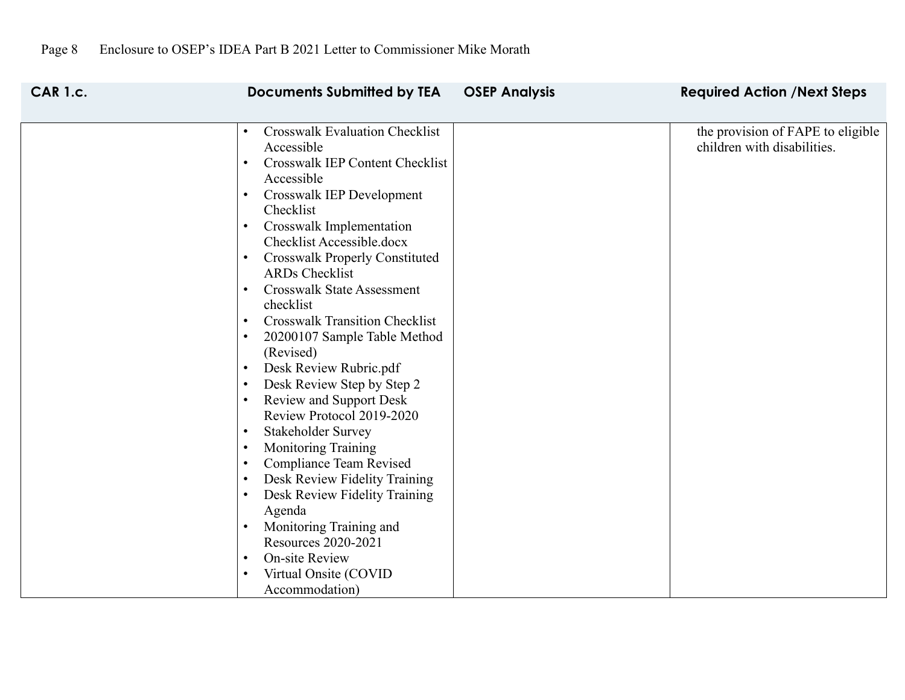| <b>CAR 1.c.</b> | <b>Documents Submitted by TEA</b>                                                                                                                                                                                                                                                                                                                                                                                                                                                                                                                                                                                                                                                                                                                                                                                                                                                                                                                           | <b>OSEP Analysis</b> | <b>Required Action /Next Steps</b>                               |
|-----------------|-------------------------------------------------------------------------------------------------------------------------------------------------------------------------------------------------------------------------------------------------------------------------------------------------------------------------------------------------------------------------------------------------------------------------------------------------------------------------------------------------------------------------------------------------------------------------------------------------------------------------------------------------------------------------------------------------------------------------------------------------------------------------------------------------------------------------------------------------------------------------------------------------------------------------------------------------------------|----------------------|------------------------------------------------------------------|
|                 | <b>Crosswalk Evaluation Checklist</b><br>$\bullet$<br>Accessible<br>Crosswalk IEP Content Checklist<br>$\bullet$<br>Accessible<br>Crosswalk IEP Development<br>$\bullet$<br>Checklist<br>Crosswalk Implementation<br>$\bullet$<br>Checklist Accessible.docx<br><b>Crosswalk Properly Constituted</b><br>$\bullet$<br>ARDs Checklist<br><b>Crosswalk State Assessment</b><br>$\bullet$<br>checklist<br><b>Crosswalk Transition Checklist</b><br>20200107 Sample Table Method<br>(Revised)<br>Desk Review Rubric.pdf<br>$\bullet$<br>Desk Review Step by Step 2<br><b>Review and Support Desk</b><br>$\bullet$<br>Review Protocol 2019-2020<br>Stakeholder Survey<br>$\bullet$<br><b>Monitoring Training</b><br>Compliance Team Revised<br>Desk Review Fidelity Training<br>Desk Review Fidelity Training<br>Agenda<br>Monitoring Training and<br><b>Resources 2020-2021</b><br><b>On-site Review</b><br>$\bullet$<br>Virtual Onsite (COVID<br>Accommodation) |                      | the provision of FAPE to eligible<br>children with disabilities. |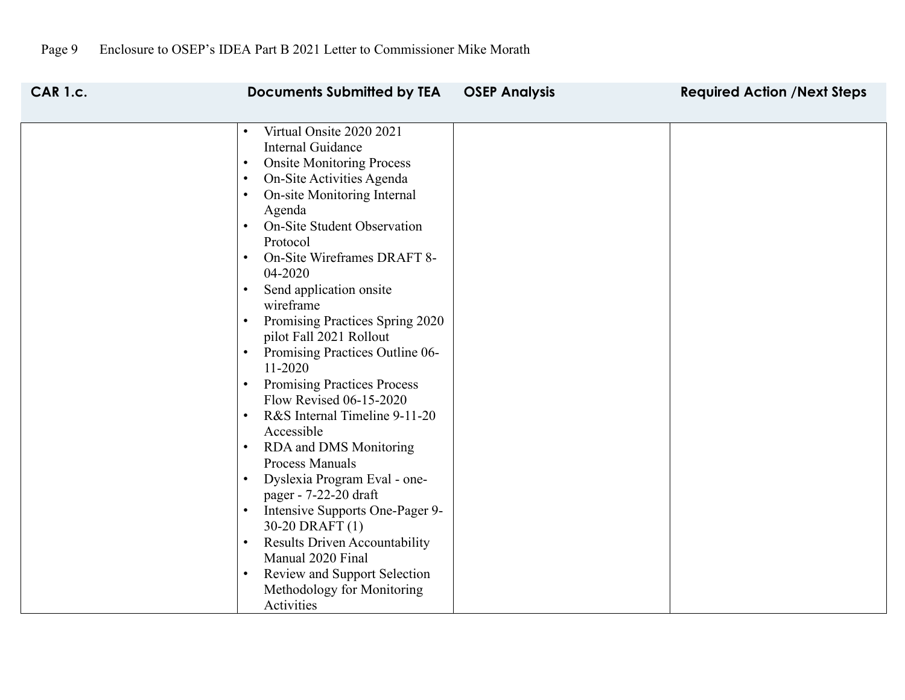| <b>CAR 1.c.</b> | <b>Documents Submitted by TEA</b>                                                                                                                                                                                                                                                                                                                                                                                                                                                                                                                                                                                                                                                                                                                                                                                                                                                                                                                                                                                                                   | <b>OSEP Analysis</b> | <b>Required Action /Next Steps</b> |
|-----------------|-----------------------------------------------------------------------------------------------------------------------------------------------------------------------------------------------------------------------------------------------------------------------------------------------------------------------------------------------------------------------------------------------------------------------------------------------------------------------------------------------------------------------------------------------------------------------------------------------------------------------------------------------------------------------------------------------------------------------------------------------------------------------------------------------------------------------------------------------------------------------------------------------------------------------------------------------------------------------------------------------------------------------------------------------------|----------------------|------------------------------------|
|                 | Virtual Onsite 2020 2021<br>$\bullet$<br>Internal Guidance<br><b>Onsite Monitoring Process</b><br>$\bullet$<br>On-Site Activities Agenda<br>$\bullet$<br>On-site Monitoring Internal<br>$\bullet$<br>Agenda<br><b>On-Site Student Observation</b><br>$\bullet$<br>Protocol<br>On-Site Wireframes DRAFT 8-<br>$\bullet$<br>04-2020<br>Send application onsite<br>$\bullet$<br>wireframe<br>Promising Practices Spring 2020<br>$\bullet$<br>pilot Fall 2021 Rollout<br>Promising Practices Outline 06-<br>$\bullet$<br>11-2020<br><b>Promising Practices Process</b><br>$\bullet$<br>Flow Revised 06-15-2020<br>R&S Internal Timeline 9-11-20<br>$\bullet$<br>Accessible<br>RDA and DMS Monitoring<br>$\bullet$<br>Process Manuals<br>Dyslexia Program Eval - one-<br>$\bullet$<br>pager - 7-22-20 draft<br>Intensive Supports One-Pager 9-<br>$\bullet$<br>30-20 DRAFT (1)<br><b>Results Driven Accountability</b><br>$\bullet$<br>Manual 2020 Final<br><b>Review and Support Selection</b><br>$\bullet$<br>Methodology for Monitoring<br>Activities |                      |                                    |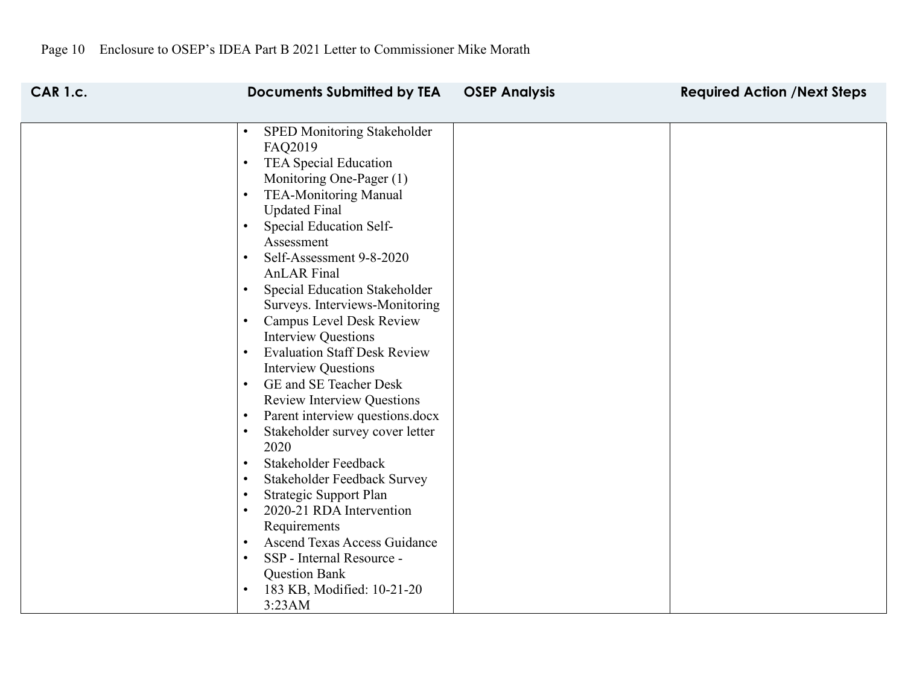| <b>CAR 1.c.</b> | <b>Documents Submitted by TEA</b>                                                                                                                                                                                                                                                                                                                                                                                                                                                                                                                                                                                                                                                                                                                                                                                                                                                                                                                                                                                                                                                                                      | <b>OSEP Analysis</b> | <b>Required Action /Next Steps</b> |
|-----------------|------------------------------------------------------------------------------------------------------------------------------------------------------------------------------------------------------------------------------------------------------------------------------------------------------------------------------------------------------------------------------------------------------------------------------------------------------------------------------------------------------------------------------------------------------------------------------------------------------------------------------------------------------------------------------------------------------------------------------------------------------------------------------------------------------------------------------------------------------------------------------------------------------------------------------------------------------------------------------------------------------------------------------------------------------------------------------------------------------------------------|----------------------|------------------------------------|
|                 | SPED Monitoring Stakeholder<br>$\bullet$<br>FAQ2019<br><b>TEA Special Education</b><br>$\bullet$<br>Monitoring One-Pager (1)<br><b>TEA-Monitoring Manual</b><br>$\bullet$<br><b>Updated Final</b><br>Special Education Self-<br>$\bullet$<br>Assessment<br>Self-Assessment 9-8-2020<br>$\bullet$<br><b>AnLAR</b> Final<br>Special Education Stakeholder<br>$\bullet$<br>Surveys. Interviews-Monitoring<br><b>Campus Level Desk Review</b><br>$\bullet$<br><b>Interview Questions</b><br><b>Evaluation Staff Desk Review</b><br>$\bullet$<br><b>Interview Questions</b><br>GE and SE Teacher Desk<br>$\bullet$<br><b>Review Interview Questions</b><br>Parent interview questions.docx<br>$\bullet$<br>Stakeholder survey cover letter<br>$\bullet$<br>2020<br>Stakeholder Feedback<br>$\bullet$<br>Stakeholder Feedback Survey<br>$\bullet$<br>Strategic Support Plan<br>$\bullet$<br>2020-21 RDA Intervention<br>$\bullet$<br>Requirements<br><b>Ascend Texas Access Guidance</b><br>$\bullet$<br>SSP - Internal Resource -<br>$\bullet$<br><b>Question Bank</b><br>183 KB, Modified: 10-21-20<br>$\bullet$<br>3:23AM |                      |                                    |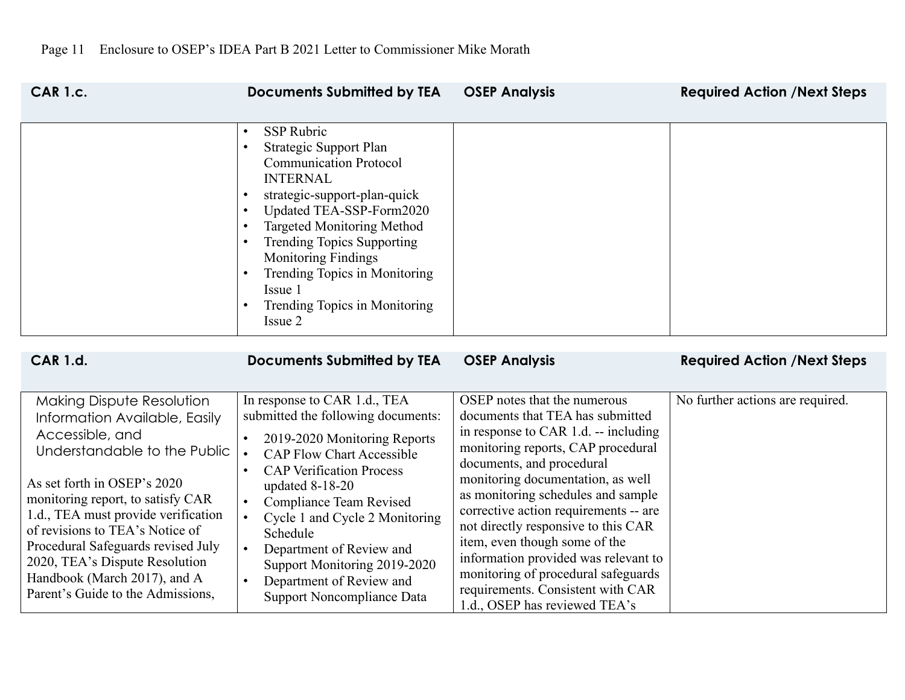| <b>CAR 1.c.</b> | <b>Documents Submitted by TEA</b>                                                                                                                                                                                                                                                                                                                                                                                                  | <b>OSEP Analysis</b> | <b>Required Action /Next Steps</b> |
|-----------------|------------------------------------------------------------------------------------------------------------------------------------------------------------------------------------------------------------------------------------------------------------------------------------------------------------------------------------------------------------------------------------------------------------------------------------|----------------------|------------------------------------|
|                 | SSP Rubric<br>$\bullet$<br>Strategic Support Plan<br>$\bullet$<br><b>Communication Protocol</b><br><b>INTERNAL</b><br>strategic-support-plan-quick<br>Updated TEA-SSP-Form2020<br>$\bullet$<br><b>Targeted Monitoring Method</b><br><b>Trending Topics Supporting</b><br>$\bullet$<br><b>Monitoring Findings</b><br>Trending Topics in Monitoring<br>$\bullet$<br>Issue 1<br>Trending Topics in Monitoring<br>$\bullet$<br>Issue 2 |                      |                                    |
| <b>CAR 1.d.</b> | <b>Documents Submitted by TEA</b>                                                                                                                                                                                                                                                                                                                                                                                                  | <b>OSEP Analysis</b> | <b>Required Action /Next Steps</b> |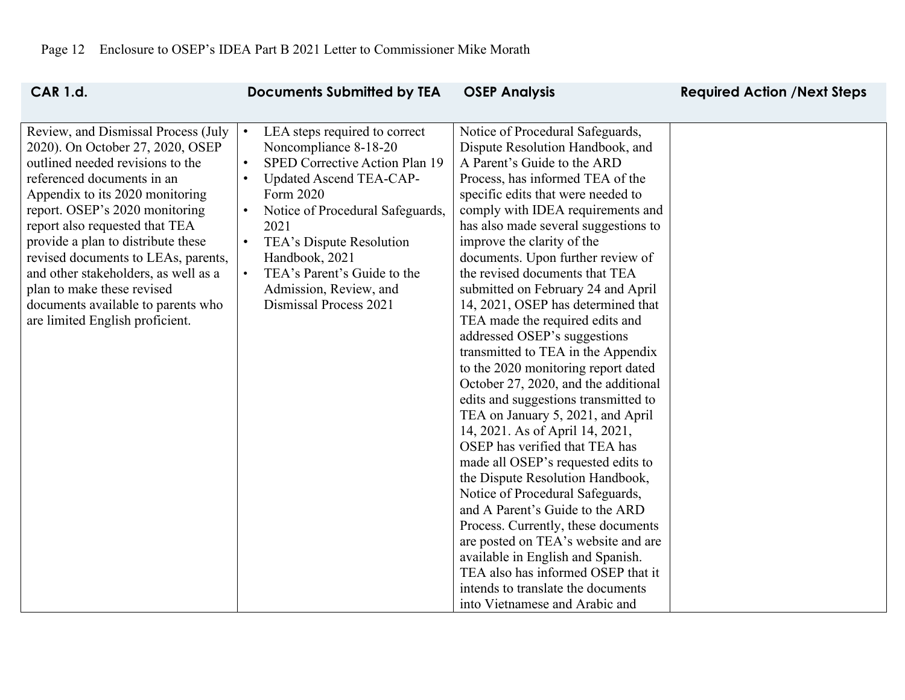| <b>CAR 1.d.</b>                                                                                                                                                                                                                                                                                                                                                                                                                                                              | <b>Documents Submitted by TEA</b>                                                                                                                                                                                                                                                                                                                                              | <b>OSEP Analysis</b>                                                                                                                                                                                                                                                                                                                                                                                                                                                                                                                                                                                                                                                                                                                                                                                                                                                                                                                                                                                                                                      | <b>Required Action /Next Steps</b> |
|------------------------------------------------------------------------------------------------------------------------------------------------------------------------------------------------------------------------------------------------------------------------------------------------------------------------------------------------------------------------------------------------------------------------------------------------------------------------------|--------------------------------------------------------------------------------------------------------------------------------------------------------------------------------------------------------------------------------------------------------------------------------------------------------------------------------------------------------------------------------|-----------------------------------------------------------------------------------------------------------------------------------------------------------------------------------------------------------------------------------------------------------------------------------------------------------------------------------------------------------------------------------------------------------------------------------------------------------------------------------------------------------------------------------------------------------------------------------------------------------------------------------------------------------------------------------------------------------------------------------------------------------------------------------------------------------------------------------------------------------------------------------------------------------------------------------------------------------------------------------------------------------------------------------------------------------|------------------------------------|
| Review, and Dismissal Process (July<br>2020). On October 27, 2020, OSEP<br>outlined needed revisions to the<br>referenced documents in an<br>Appendix to its 2020 monitoring<br>report. OSEP's 2020 monitoring<br>report also requested that TEA<br>provide a plan to distribute these<br>revised documents to LEAs, parents,<br>and other stakeholders, as well as a<br>plan to make these revised<br>documents available to parents who<br>are limited English proficient. | LEA steps required to correct<br>Noncompliance 8-18-20<br>SPED Corrective Action Plan 19<br>$\bullet$<br>Updated Ascend TEA-CAP-<br>$\bullet$<br>Form 2020<br>Notice of Procedural Safeguards,<br>$\bullet$<br>2021<br>TEA's Dispute Resolution<br>$\bullet$<br>Handbook, 2021<br>TEA's Parent's Guide to the<br>$\bullet$<br>Admission, Review, and<br>Dismissal Process 2021 | Notice of Procedural Safeguards,<br>Dispute Resolution Handbook, and<br>A Parent's Guide to the ARD<br>Process, has informed TEA of the<br>specific edits that were needed to<br>comply with IDEA requirements and<br>has also made several suggestions to<br>improve the clarity of the<br>documents. Upon further review of<br>the revised documents that TEA<br>submitted on February 24 and April<br>14, 2021, OSEP has determined that<br>TEA made the required edits and<br>addressed OSEP's suggestions<br>transmitted to TEA in the Appendix<br>to the 2020 monitoring report dated<br>October 27, 2020, and the additional<br>edits and suggestions transmitted to<br>TEA on January 5, 2021, and April<br>14, 2021. As of April 14, 2021,<br>OSEP has verified that TEA has<br>made all OSEP's requested edits to<br>the Dispute Resolution Handbook,<br>Notice of Procedural Safeguards,<br>and A Parent's Guide to the ARD<br>Process. Currently, these documents<br>are posted on TEA's website and are<br>available in English and Spanish. |                                    |
|                                                                                                                                                                                                                                                                                                                                                                                                                                                                              |                                                                                                                                                                                                                                                                                                                                                                                | TEA also has informed OSEP that it<br>intends to translate the documents<br>into Vietnamese and Arabic and                                                                                                                                                                                                                                                                                                                                                                                                                                                                                                                                                                                                                                                                                                                                                                                                                                                                                                                                                |                                    |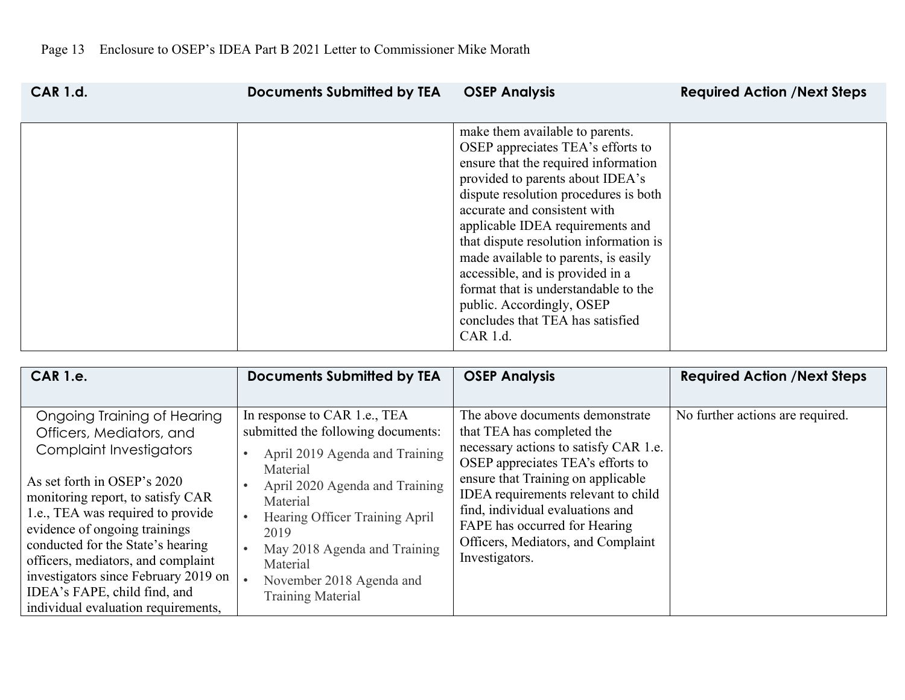| <b>CAR 1.d.</b> | <b>Documents Submitted by TEA</b> | <b>OSEP Analysis</b>                                                                                                                                                                                                                                                                                                                                                                                                                                                                                     | <b>Required Action /Next Steps</b> |
|-----------------|-----------------------------------|----------------------------------------------------------------------------------------------------------------------------------------------------------------------------------------------------------------------------------------------------------------------------------------------------------------------------------------------------------------------------------------------------------------------------------------------------------------------------------------------------------|------------------------------------|
|                 |                                   | make them available to parents.<br>OSEP appreciates TEA's efforts to<br>ensure that the required information<br>provided to parents about IDEA's<br>dispute resolution procedures is both<br>accurate and consistent with<br>applicable IDEA requirements and<br>that dispute resolution information is<br>made available to parents, is easily<br>accessible, and is provided in a<br>format that is understandable to the<br>public. Accordingly, OSEP<br>concludes that TEA has satisfied<br>CAR 1.d. |                                    |

| <b>CAR 1.e.</b>                                                                                                                                                                                                                                                                                                                                                                                                               | <b>Documents Submitted by TEA</b>                                                                                                                                                                                                                                                                            | <b>OSEP Analysis</b>                                                                                                                                                                                                                                                                                                                                  | <b>Required Action /Next Steps</b> |
|-------------------------------------------------------------------------------------------------------------------------------------------------------------------------------------------------------------------------------------------------------------------------------------------------------------------------------------------------------------------------------------------------------------------------------|--------------------------------------------------------------------------------------------------------------------------------------------------------------------------------------------------------------------------------------------------------------------------------------------------------------|-------------------------------------------------------------------------------------------------------------------------------------------------------------------------------------------------------------------------------------------------------------------------------------------------------------------------------------------------------|------------------------------------|
| Ongoing Training of Hearing<br>Officers, Mediators, and<br><b>Complaint Investigators</b><br>As set forth in OSEP's 2020<br>monitoring report, to satisfy CAR<br>1.e., TEA was required to provide<br>evidence of ongoing trainings<br>conducted for the State's hearing<br>officers, mediators, and complaint<br>investigators since February 2019 on<br>IDEA's FAPE, child find, and<br>individual evaluation requirements, | In response to CAR 1.e., TEA<br>submitted the following documents:<br>April 2019 Agenda and Training<br>Material<br>April 2020 Agenda and Training<br>Material<br>Hearing Officer Training April<br>2019<br>May 2018 Agenda and Training<br>Material<br>November 2018 Agenda and<br><b>Training Material</b> | The above documents demonstrate<br>that TEA has completed the<br>necessary actions to satisfy CAR 1.e.<br>OSEP appreciates TEA's efforts to<br>ensure that Training on applicable<br>IDEA requirements relevant to child<br>find, individual evaluations and<br>FAPE has occurred for Hearing<br>Officers, Mediators, and Complaint<br>Investigators. | No further actions are required.   |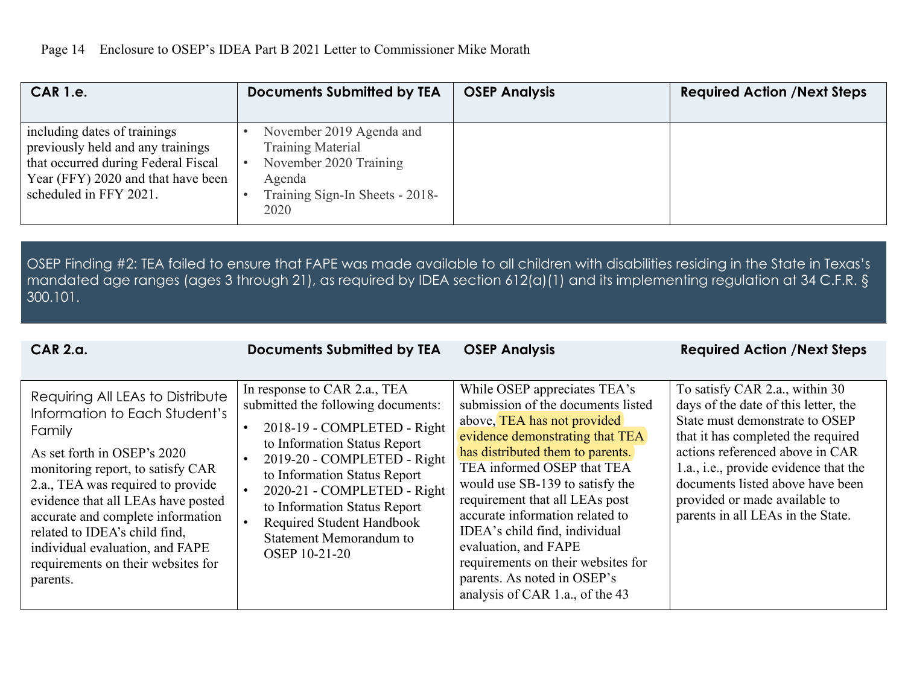| <b>CAR 1.e.</b>                                                                                                                                                          | <b>Documents Submitted by TEA</b>                                                                                                   | <b>OSEP Analysis</b> | <b>Required Action /Next Steps</b> |
|--------------------------------------------------------------------------------------------------------------------------------------------------------------------------|-------------------------------------------------------------------------------------------------------------------------------------|----------------------|------------------------------------|
| including dates of trainings<br>previously held and any trainings<br>that occurred during Federal Fiscal<br>Year (FFY) 2020 and that have been<br>scheduled in FFY 2021. | November 2019 Agenda and<br><b>Training Material</b><br>November 2020 Training<br>Agenda<br>Training Sign-In Sheets - 2018-<br>2020 |                      |                                    |

OSEP Finding #2: TEA failed to ensure that FAPE was made available to all children with disabilities residing in the State in Texas's mandated age ranges (ages 3 through 21), as required by IDEA section 612(a)(1) and its implementing regulation at 34 C.F.R. § 300.101.

| <b>CAR 2.a.</b>                                                                                                                                                                                                                                                                                                                                                                       | <b>Documents Submitted by TEA</b>                                                                                                                                                                                                                                                                                                               | <b>OSEP Analysis</b>                                                                                                                                                                                                                                                                                                                                                                                                                                                            | <b>Required Action /Next Steps</b>                                                                                                                                                                                                                                                                                                   |
|---------------------------------------------------------------------------------------------------------------------------------------------------------------------------------------------------------------------------------------------------------------------------------------------------------------------------------------------------------------------------------------|-------------------------------------------------------------------------------------------------------------------------------------------------------------------------------------------------------------------------------------------------------------------------------------------------------------------------------------------------|---------------------------------------------------------------------------------------------------------------------------------------------------------------------------------------------------------------------------------------------------------------------------------------------------------------------------------------------------------------------------------------------------------------------------------------------------------------------------------|--------------------------------------------------------------------------------------------------------------------------------------------------------------------------------------------------------------------------------------------------------------------------------------------------------------------------------------|
| Requiring All LEAs to Distribute<br>Information to Each Student's<br>Family<br>As set forth in OSEP's 2020<br>monitoring report, to satisfy CAR<br>2.a., TEA was required to provide<br>evidence that all LEAs have posted<br>accurate and complete information<br>related to IDEA's child find,<br>individual evaluation, and FAPE<br>requirements on their websites for<br>parents. | In response to CAR 2.a., TEA<br>submitted the following documents:<br>2018-19 - COMPLETED - Right<br>to Information Status Report<br>2019-20 - COMPLETED - Right<br>to Information Status Report<br>2020-21 - COMPLETED - Right<br>to Information Status Report<br>Required Student Handbook<br><b>Statement Memorandum to</b><br>OSEP 10-21-20 | While OSEP appreciates TEA's<br>submission of the documents listed<br>above, TEA has not provided<br>evidence demonstrating that TEA<br>has distributed them to parents.<br>TEA informed OSEP that TEA<br>would use SB-139 to satisfy the<br>requirement that all LEAs post<br>accurate information related to<br>IDEA's child find, individual<br>evaluation, and FAPE<br>requirements on their websites for<br>parents. As noted in OSEP's<br>analysis of CAR 1.a., of the 43 | To satisfy CAR 2.a., within 30<br>days of the date of this letter, the<br>State must demonstrate to OSEP<br>that it has completed the required<br>actions referenced above in CAR<br>1.a., i.e., provide evidence that the<br>documents listed above have been<br>provided or made available to<br>parents in all LEAs in the State. |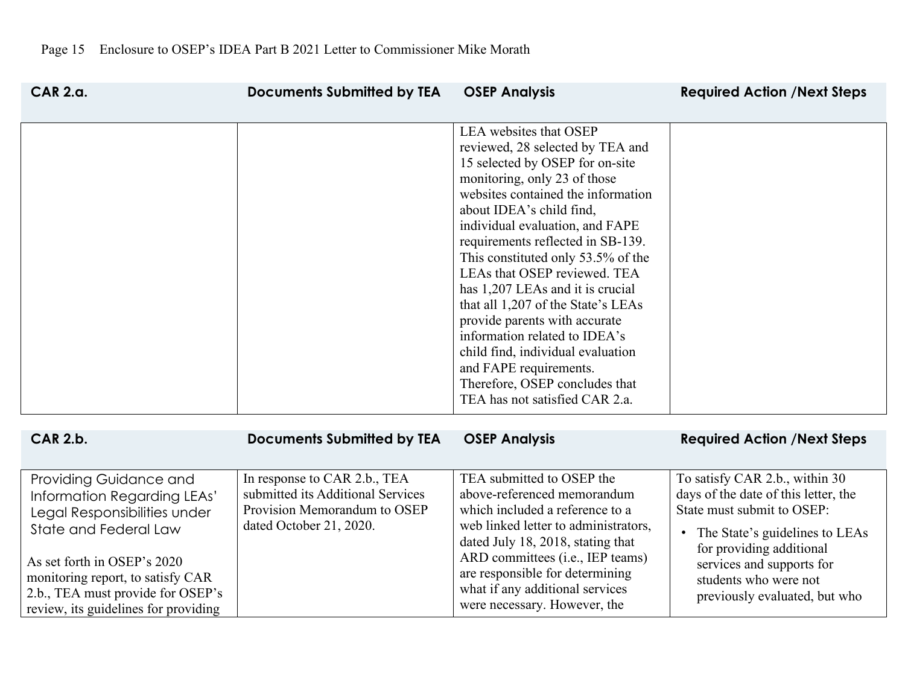| <b>CAR 2.a.</b>                                                                                                                                                                                                                                                 | <b>Documents Submitted by TEA</b>                                                                                            | <b>OSEP Analysis</b>                                                                                                                                                                                                                                                                                                                                                                                                                                                                                                                                                                                                         | <b>Required Action /Next Steps</b>                                                                                                                                                                                                                                     |
|-----------------------------------------------------------------------------------------------------------------------------------------------------------------------------------------------------------------------------------------------------------------|------------------------------------------------------------------------------------------------------------------------------|------------------------------------------------------------------------------------------------------------------------------------------------------------------------------------------------------------------------------------------------------------------------------------------------------------------------------------------------------------------------------------------------------------------------------------------------------------------------------------------------------------------------------------------------------------------------------------------------------------------------------|------------------------------------------------------------------------------------------------------------------------------------------------------------------------------------------------------------------------------------------------------------------------|
|                                                                                                                                                                                                                                                                 |                                                                                                                              | LEA websites that OSEP<br>reviewed, 28 selected by TEA and<br>15 selected by OSEP for on-site<br>monitoring, only 23 of those<br>websites contained the information<br>about IDEA's child find,<br>individual evaluation, and FAPE<br>requirements reflected in SB-139.<br>This constituted only 53.5% of the<br>LEAs that OSEP reviewed. TEA<br>has 1,207 LEAs and it is crucial<br>that all 1,207 of the State's LEAs<br>provide parents with accurate<br>information related to IDEA's<br>child find, individual evaluation<br>and FAPE requirements.<br>Therefore, OSEP concludes that<br>TEA has not satisfied CAR 2.a. |                                                                                                                                                                                                                                                                        |
| <b>CAR 2.b.</b>                                                                                                                                                                                                                                                 | <b>Documents Submitted by TEA</b>                                                                                            | <b>OSEP Analysis</b>                                                                                                                                                                                                                                                                                                                                                                                                                                                                                                                                                                                                         | <b>Required Action /Next Steps</b>                                                                                                                                                                                                                                     |
| Providing Guidance and<br>Information Regarding LEAs'<br>Legal Responsibilities under<br>State and Federal Law<br>As set forth in OSEP's 2020<br>monitoring report, to satisfy CAR<br>2.b., TEA must provide for OSEP's<br>review, its guidelines for providing | In response to CAR 2.b., TEA<br>submitted its Additional Services<br>Provision Memorandum to OSEP<br>dated October 21, 2020. | TEA submitted to OSEP the<br>above-referenced memorandum<br>which included a reference to a<br>web linked letter to administrators,<br>dated July 18, 2018, stating that<br>ARD committees (i.e., IEP teams)<br>are responsible for determining<br>what if any additional services<br>were necessary. However, the                                                                                                                                                                                                                                                                                                           | To satisfy CAR 2.b., within 30<br>days of the date of this letter, the<br>State must submit to OSEP:<br>The State's guidelines to LEAs<br>$\bullet$<br>for providing additional<br>services and supports for<br>students who were not<br>previously evaluated, but who |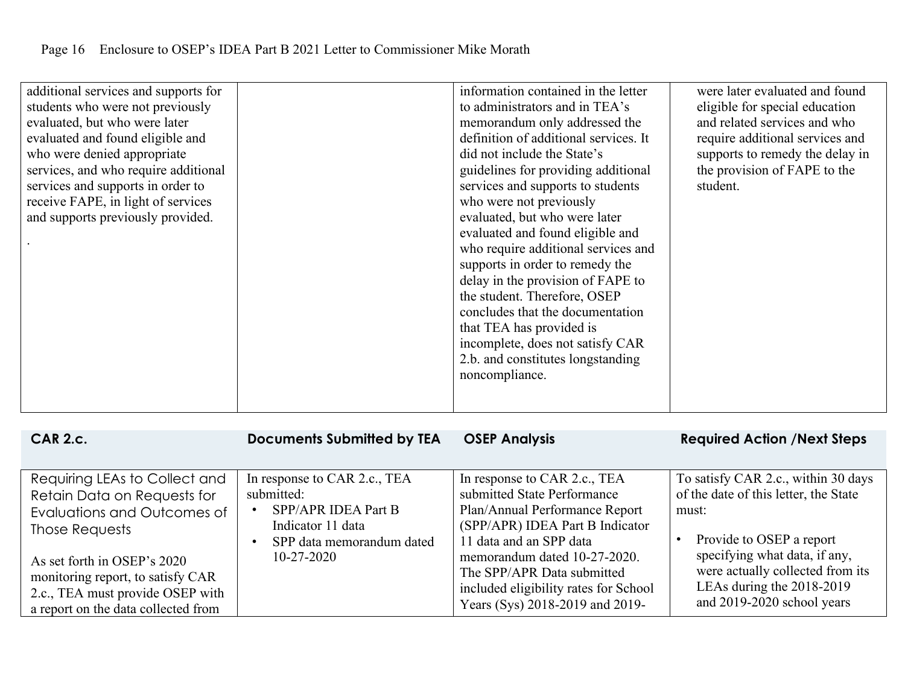| additional services and supports for<br>students who were not previously<br>evaluated, but who were later<br>evaluated and found eligible and<br>who were denied appropriate<br>services, and who require additional<br>services and supports in order to<br>receive FAPE, in light of services<br>and supports previously provided. |  | information contained in the letter<br>to administrators and in TEA's<br>memorandum only addressed the<br>definition of additional services. It<br>did not include the State's<br>guidelines for providing additional<br>services and supports to students<br>who were not previously<br>evaluated, but who were later<br>evaluated and found eligible and<br>who require additional services and<br>supports in order to remedy the<br>delay in the provision of FAPE to<br>the student. Therefore, OSEP<br>concludes that the documentation<br>that TEA has provided is<br>incomplete, does not satisfy CAR<br>2.b. and constitutes longstanding<br>noncompliance. | were later evaluated and found<br>eligible for special education<br>and related services and who<br>require additional services and<br>supports to remedy the delay in<br>the provision of FAPE to the<br>student. |
|--------------------------------------------------------------------------------------------------------------------------------------------------------------------------------------------------------------------------------------------------------------------------------------------------------------------------------------|--|----------------------------------------------------------------------------------------------------------------------------------------------------------------------------------------------------------------------------------------------------------------------------------------------------------------------------------------------------------------------------------------------------------------------------------------------------------------------------------------------------------------------------------------------------------------------------------------------------------------------------------------------------------------------|--------------------------------------------------------------------------------------------------------------------------------------------------------------------------------------------------------------------|
|--------------------------------------------------------------------------------------------------------------------------------------------------------------------------------------------------------------------------------------------------------------------------------------------------------------------------------------|--|----------------------------------------------------------------------------------------------------------------------------------------------------------------------------------------------------------------------------------------------------------------------------------------------------------------------------------------------------------------------------------------------------------------------------------------------------------------------------------------------------------------------------------------------------------------------------------------------------------------------------------------------------------------------|--------------------------------------------------------------------------------------------------------------------------------------------------------------------------------------------------------------------|

| <b>CAR 2.c.</b>                                                                                                                                                                                                                                              | <b>Documents Submitted by TEA</b>                                                                                                       | <b>OSEP Analysis</b>                                                                                                                                                                                                                                                                                  | <b>Required Action /Next Steps</b>                                                                                                                                                                                                                |
|--------------------------------------------------------------------------------------------------------------------------------------------------------------------------------------------------------------------------------------------------------------|-----------------------------------------------------------------------------------------------------------------------------------------|-------------------------------------------------------------------------------------------------------------------------------------------------------------------------------------------------------------------------------------------------------------------------------------------------------|---------------------------------------------------------------------------------------------------------------------------------------------------------------------------------------------------------------------------------------------------|
| Requiring LEAs to Collect and<br>Retain Data on Requests for<br>Evaluations and Outcomes of<br>Those Requests<br>As set forth in OSEP's 2020<br>monitoring report, to satisfy CAR<br>2.c., TEA must provide OSEP with<br>a report on the data collected from | In response to CAR 2.c., TEA<br>submitted:<br>SPP/APR IDEA Part B<br>Indicator 11 data<br>SPP data memorandum dated<br>$10 - 27 - 2020$ | In response to CAR 2.c., TEA<br>submitted State Performance<br>Plan/Annual Performance Report<br>(SPP/APR) IDEA Part B Indicator<br>11 data and an SPP data<br>memorandum dated 10-27-2020.<br>The SPP/APR Data submitted<br>included eligibility rates for School<br>Years (Sys) 2018-2019 and 2019- | To satisfy CAR 2.c., within 30 days<br>of the date of this letter, the State<br>must:<br>Provide to OSEP a report<br>specifying what data, if any,<br>were actually collected from its<br>LEAs during the 2018-2019<br>and 2019-2020 school years |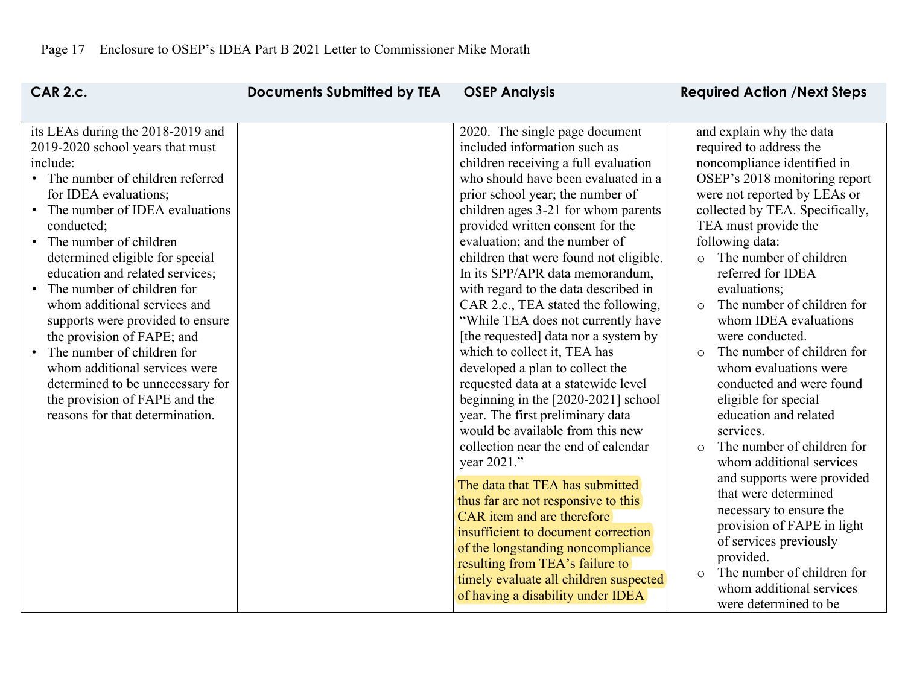| <b>CAR 2.c.</b>                                                                                                                                                                                                                                                                                                                                                                                                                                                                                                                                                                                                                      | <b>Documents Submitted by TEA</b> | <b>OSEP Analysis</b>                                                                                                                                                                                                                                                                                                                                                                                                                                                                                                                                                                                                                                                                                                                                                                                                     | <b>Required Action /Next Steps</b>                                                                                                                                                                                                                                                                                                                                                                                                                                                                                                                                                                                                |
|--------------------------------------------------------------------------------------------------------------------------------------------------------------------------------------------------------------------------------------------------------------------------------------------------------------------------------------------------------------------------------------------------------------------------------------------------------------------------------------------------------------------------------------------------------------------------------------------------------------------------------------|-----------------------------------|--------------------------------------------------------------------------------------------------------------------------------------------------------------------------------------------------------------------------------------------------------------------------------------------------------------------------------------------------------------------------------------------------------------------------------------------------------------------------------------------------------------------------------------------------------------------------------------------------------------------------------------------------------------------------------------------------------------------------------------------------------------------------------------------------------------------------|-----------------------------------------------------------------------------------------------------------------------------------------------------------------------------------------------------------------------------------------------------------------------------------------------------------------------------------------------------------------------------------------------------------------------------------------------------------------------------------------------------------------------------------------------------------------------------------------------------------------------------------|
| its LEAs during the 2018-2019 and<br>2019-2020 school years that must<br>include:<br>• The number of children referred<br>for IDEA evaluations;<br>The number of IDEA evaluations<br>$\bullet$<br>conducted;<br>• The number of children<br>determined eligible for special<br>education and related services;<br>The number of children for<br>$\bullet$<br>whom additional services and<br>supports were provided to ensure<br>the provision of FAPE; and<br>• The number of children for<br>whom additional services were<br>determined to be unnecessary for<br>the provision of FAPE and the<br>reasons for that determination. |                                   | 2020. The single page document<br>included information such as<br>children receiving a full evaluation<br>who should have been evaluated in a<br>prior school year; the number of<br>children ages 3-21 for whom parents<br>provided written consent for the<br>evaluation; and the number of<br>children that were found not eligible.<br>In its SPP/APR data memorandum,<br>with regard to the data described in<br>CAR 2.c., TEA stated the following,<br>"While TEA does not currently have<br>[the requested] data nor a system by<br>which to collect it, TEA has<br>developed a plan to collect the<br>requested data at a statewide level<br>beginning in the $[2020-2021]$ school<br>year. The first preliminary data<br>would be available from this new<br>collection near the end of calendar<br>year 2021." | and explain why the data<br>required to address the<br>noncompliance identified in<br>OSEP's 2018 monitoring report<br>were not reported by LEAs or<br>collected by TEA. Specifically,<br>TEA must provide the<br>following data:<br>The number of children<br>$\circ$<br>referred for IDEA<br>evaluations;<br>The number of children for<br>$\circ$<br>whom IDEA evaluations<br>were conducted.<br>The number of children for<br>$\circ$<br>whom evaluations were<br>conducted and were found<br>eligible for special<br>education and related<br>services.<br>The number of children for<br>$\circ$<br>whom additional services |
|                                                                                                                                                                                                                                                                                                                                                                                                                                                                                                                                                                                                                                      |                                   | The data that TEA has submitted<br>thus far are not responsive to this<br>CAR item and are therefore<br>insufficient to document correction<br>of the longstanding noncompliance<br>resulting from TEA's failure to<br>timely evaluate all children suspected<br>of having a disability under IDEA                                                                                                                                                                                                                                                                                                                                                                                                                                                                                                                       | and supports were provided<br>that were determined<br>necessary to ensure the<br>provision of FAPE in light<br>of services previously<br>provided.<br>The number of children for<br>$\Omega$<br>whom additional services<br>were determined to be                                                                                                                                                                                                                                                                                                                                                                                 |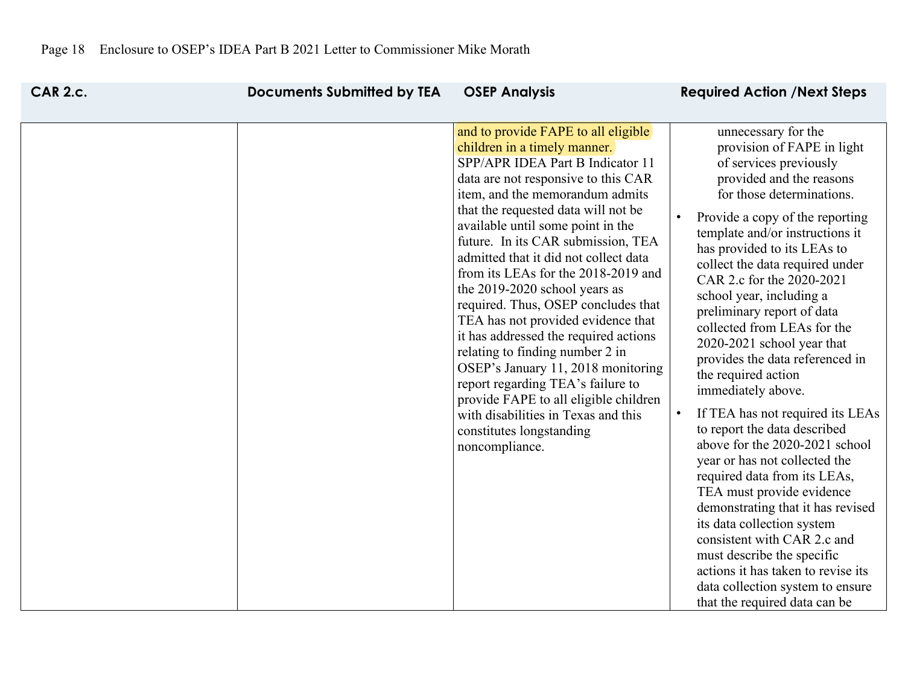| <b>CAR 2.c.</b> | <b>Documents Submitted by TEA</b> | <b>OSEP Analysis</b>                                                                                                                                                                                                                                                                                                                                                                                                                                                                                                                                                                                                                                                                                                                                                                   | <b>Required Action /Next Steps</b>                                                                                                                                                                                                                                                                                                                                                                                                                                                                                                                                                                                                                                                                                                                                                                                                                                                                                                                              |
|-----------------|-----------------------------------|----------------------------------------------------------------------------------------------------------------------------------------------------------------------------------------------------------------------------------------------------------------------------------------------------------------------------------------------------------------------------------------------------------------------------------------------------------------------------------------------------------------------------------------------------------------------------------------------------------------------------------------------------------------------------------------------------------------------------------------------------------------------------------------|-----------------------------------------------------------------------------------------------------------------------------------------------------------------------------------------------------------------------------------------------------------------------------------------------------------------------------------------------------------------------------------------------------------------------------------------------------------------------------------------------------------------------------------------------------------------------------------------------------------------------------------------------------------------------------------------------------------------------------------------------------------------------------------------------------------------------------------------------------------------------------------------------------------------------------------------------------------------|
|                 |                                   | and to provide FAPE to all eligible<br>children in a timely manner.<br>SPP/APR IDEA Part B Indicator 11<br>data are not responsive to this CAR<br>item, and the memorandum admits<br>that the requested data will not be<br>available until some point in the<br>future. In its CAR submission, TEA<br>admitted that it did not collect data<br>from its LEAs for the 2018-2019 and<br>the 2019-2020 school years as<br>required. Thus, OSEP concludes that<br>TEA has not provided evidence that<br>it has addressed the required actions<br>relating to finding number 2 in<br>OSEP's January 11, 2018 monitoring<br>report regarding TEA's failure to<br>provide FAPE to all eligible children<br>with disabilities in Texas and this<br>constitutes longstanding<br>noncompliance. | unnecessary for the<br>provision of FAPE in light<br>of services previously<br>provided and the reasons<br>for those determinations.<br>Provide a copy of the reporting<br>template and/or instructions it<br>has provided to its LEAs to<br>collect the data required under<br>CAR 2.c for the 2020-2021<br>school year, including a<br>preliminary report of data<br>collected from LEAs for the<br>2020-2021 school year that<br>provides the data referenced in<br>the required action<br>immediately above.<br>If TEA has not required its LEAs<br>to report the data described<br>above for the 2020-2021 school<br>year or has not collected the<br>required data from its LEAs,<br>TEA must provide evidence<br>demonstrating that it has revised<br>its data collection system<br>consistent with CAR 2.c and<br>must describe the specific<br>actions it has taken to revise its<br>data collection system to ensure<br>that the required data can be |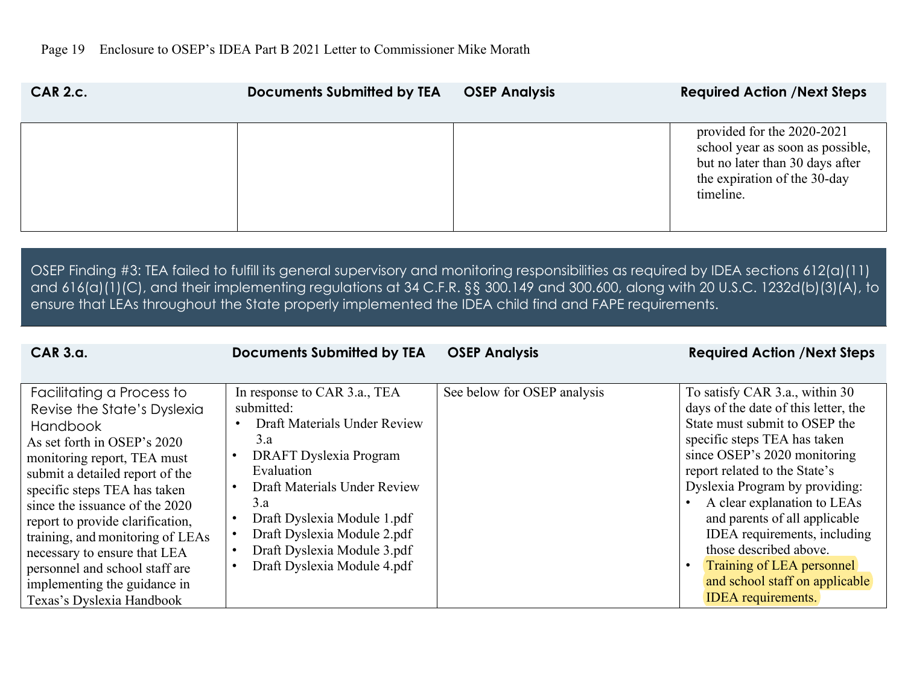| <b>CAR 2.c.</b> | <b>Documents Submitted by TEA</b> | <b>OSEP Analysis</b> | <b>Required Action /Next Steps</b>                                                                                                             |
|-----------------|-----------------------------------|----------------------|------------------------------------------------------------------------------------------------------------------------------------------------|
|                 |                                   |                      | provided for the 2020-2021<br>school year as soon as possible,<br>but no later than 30 days after<br>the expiration of the 30-day<br>timeline. |

OSEP Finding #3: TEA failed to fulfill its general supervisory and monitoring responsibilities as required by IDEA sections 612(a)(11) and 616(a)(1)(C), and their implementing regulations at 34 C.F.R. §§ 300.149 and 300.600, along with 20 U.S.C. 1232d(b)(3)(A), to ensure that LEAs throughout the State properly implemented the IDEA child find and FAPE requirements.

| $CAR$ $3.a.$                                                                                                                                                                                                                                                                                                                                                                                                                                          | <b>Documents Submitted by TEA</b>                                                                                                                                                                                                                                                            | <b>OSEP Analysis</b>        | <b>Required Action /Next Steps</b>                                                                                                                                                                                                                                                                                                                                                                                                                               |
|-------------------------------------------------------------------------------------------------------------------------------------------------------------------------------------------------------------------------------------------------------------------------------------------------------------------------------------------------------------------------------------------------------------------------------------------------------|----------------------------------------------------------------------------------------------------------------------------------------------------------------------------------------------------------------------------------------------------------------------------------------------|-----------------------------|------------------------------------------------------------------------------------------------------------------------------------------------------------------------------------------------------------------------------------------------------------------------------------------------------------------------------------------------------------------------------------------------------------------------------------------------------------------|
|                                                                                                                                                                                                                                                                                                                                                                                                                                                       |                                                                                                                                                                                                                                                                                              |                             |                                                                                                                                                                                                                                                                                                                                                                                                                                                                  |
| Facilitating a Process to<br>Revise the State's Dyslexia<br><b>Handbook</b><br>As set forth in OSEP's 2020<br>monitoring report, TEA must<br>submit a detailed report of the<br>specific steps TEA has taken<br>since the issuance of the 2020<br>report to provide clarification,<br>training, and monitoring of LEAs<br>necessary to ensure that LEA<br>personnel and school staff are<br>implementing the guidance in<br>Texas's Dyslexia Handbook | In response to CAR 3.a., TEA<br>submitted:<br>Draft Materials Under Review<br>3.a<br>DRAFT Dyslexia Program<br>Evaluation<br>Draft Materials Under Review<br>3.a<br>Draft Dyslexia Module 1.pdf<br>Draft Dyslexia Module 2.pdf<br>Draft Dyslexia Module 3.pdf<br>Draft Dyslexia Module 4.pdf | See below for OSEP analysis | To satisfy CAR 3.a., within 30<br>days of the date of this letter, the<br>State must submit to OSEP the<br>specific steps TEA has taken<br>since OSEP's 2020 monitoring<br>report related to the State's<br>Dyslexia Program by providing:<br>A clear explanation to LEAs<br>and parents of all applicable<br>IDEA requirements, including<br>those described above.<br>Training of LEA personnel<br>and school staff on applicable<br><b>IDEA</b> requirements. |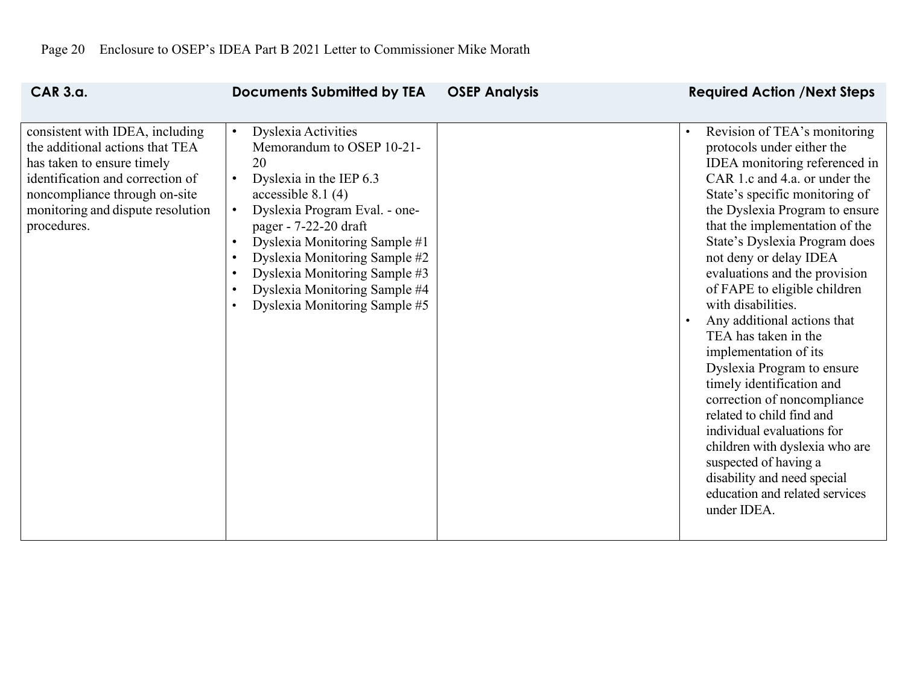| <b>CAR 3.a.</b>                                                                                                                                                                                                           | <b>Documents Submitted by TEA</b>                                                                                                                                                                                                                                                                                                                                                                                                                      | <b>OSEP Analysis</b> | <b>Required Action /Next Steps</b>                                                                                                                                                                                                                                                                                                                                                                                                                                                                                                                                                                                                                                                                                                                                   |
|---------------------------------------------------------------------------------------------------------------------------------------------------------------------------------------------------------------------------|--------------------------------------------------------------------------------------------------------------------------------------------------------------------------------------------------------------------------------------------------------------------------------------------------------------------------------------------------------------------------------------------------------------------------------------------------------|----------------------|----------------------------------------------------------------------------------------------------------------------------------------------------------------------------------------------------------------------------------------------------------------------------------------------------------------------------------------------------------------------------------------------------------------------------------------------------------------------------------------------------------------------------------------------------------------------------------------------------------------------------------------------------------------------------------------------------------------------------------------------------------------------|
| consistent with IDEA, including<br>the additional actions that TEA<br>has taken to ensure timely<br>identification and correction of<br>noncompliance through on-site<br>monitoring and dispute resolution<br>procedures. | <b>Dyslexia Activities</b><br>$\bullet$<br>Memorandum to OSEP 10-21-<br>20<br>Dyslexia in the IEP 6.3<br>$\bullet$<br>accessible $8.1(4)$<br>Dyslexia Program Eval. - one-<br>$\bullet$<br>pager - 7-22-20 draft<br>Dyslexia Monitoring Sample #1<br>$\bullet$<br>Dyslexia Monitoring Sample #2<br>$\bullet$<br>Dyslexia Monitoring Sample #3<br>$\bullet$<br>Dyslexia Monitoring Sample #4<br>$\bullet$<br>Dyslexia Monitoring Sample #5<br>$\bullet$ |                      | Revision of TEA's monitoring<br>protocols under either the<br>IDEA monitoring referenced in<br>CAR 1.c and 4.a. or under the<br>State's specific monitoring of<br>the Dyslexia Program to ensure<br>that the implementation of the<br>State's Dyslexia Program does<br>not deny or delay IDEA<br>evaluations and the provision<br>of FAPE to eligible children<br>with disabilities.<br>Any additional actions that<br>TEA has taken in the<br>implementation of its<br>Dyslexia Program to ensure<br>timely identification and<br>correction of noncompliance<br>related to child find and<br>individual evaluations for<br>children with dyslexia who are<br>suspected of having a<br>disability and need special<br>education and related services<br>under IDEA. |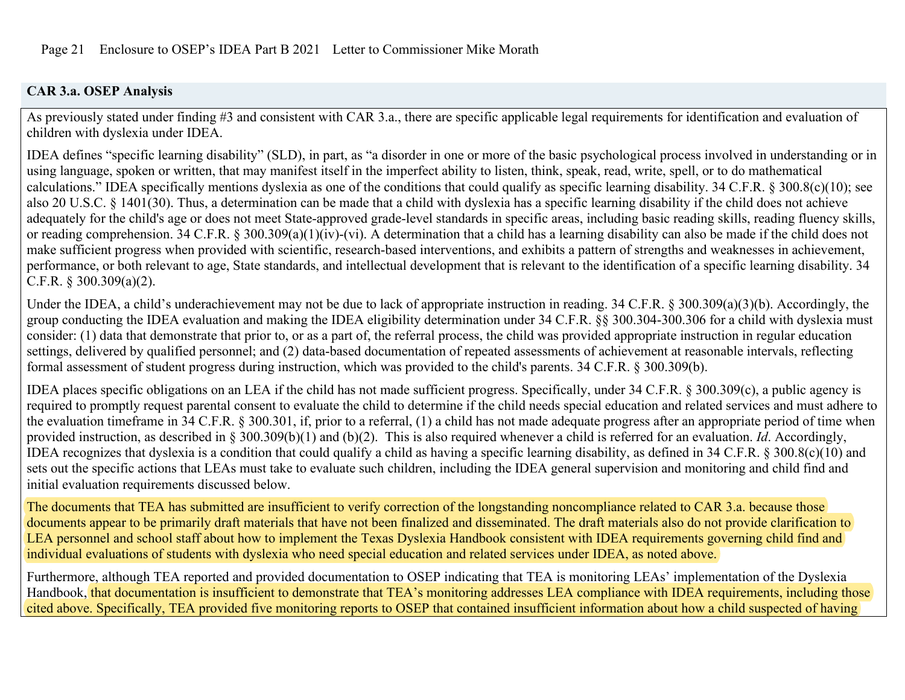## **CAR 3.a. OSEP Analysis**

As previously stated under finding #3 and consistent with CAR 3.a., there are specific applicable legal requirements for identification and evaluation of children with dyslexia under IDEA.

IDEA defines "specific learning disability" (SLD), in part, as "a disorder in one or more of the basic psychological process involved in understanding or in using language, spoken or written, that may manifest itself in the imperfect ability to listen, think, speak, read, write, spell, or to do mathematical calculations." IDEA specifically mentions dyslexia as one of the conditions that could qualify as specific learning disability. 34 C.F.R. § 300.8(c)(10); see also 20 U.S.C. § 1401(30). Thus, a determination can be made that a child with dyslexia has a specific learning disability if the child does not achieve adequately for the child's age or does not meet State-approved grade-level standards in specific areas, including basic reading skills, reading fluency skills, or reading comprehension. 34 C.F.R. § 300.309(a)(1)(iv)-(vi). A determination that a child has a learning disability can also be made if the child does not make sufficient progress when provided with scientific, research-based interventions, and exhibits a pattern of strengths and weaknesses in achievement, performance, or both relevant to age, State standards, and intellectual development that is relevant to the identification of a specific learning disability. 34 C.F.R. § 300.309(a)(2).

Under the IDEA, a child's underachievement may not be due to lack of appropriate instruction in reading. 34 C.F.R. § 300.309(a)(3)(b). Accordingly, the group conducting the IDEA evaluation and making the IDEA eligibility determination under 34 C.F.R. §§ 300.304-300.306 for a child with dyslexia must consider: (1) data that demonstrate that prior to, or as a part of, the referral process, the child was provided appropriate instruction in regular education settings, delivered by qualified personnel; and (2) data-based documentation of repeated assessments of achievement at reasonable intervals, reflecting formal assessment of student progress during instruction, which was provided to the child's parents. 34 C.F.R. § 300.309(b).

IDEA places specific obligations on an LEA if the child has not made sufficient progress. Specifically, under 34 C.F.R. § 300.309(c), a public agency is required to promptly request parental consent to evaluate the child to determine if the child needs special education and related services and must adhere to the evaluation timeframe in 34 C.F.R. § 300.301, if, prior to a referral, (1) a child has not made adequate progress after an appropriate period of time when provided instruction, as described in § 300.309(b)(1) and (b)(2). This is also required whenever a child is referred for an evaluation. *Id*. Accordingly, IDEA recognizes that dyslexia is a condition that could qualify a child as having a specific learning disability, as defined in 34 C.F.R. § 300.8(c)(10) and sets out the specific actions that LEAs must take to evaluate such children, including the IDEA general supervision and monitoring and child find and initial evaluation requirements discussed below.

The documents that TEA has submitted are insufficient to verify correction of the longstanding noncompliance related to CAR 3.a. because those documents appear to be primarily draft materials that have not been finalized and disseminated. The draft materials also do not provide clarification to LEA personnel and school staff about how to implement the Texas Dyslexia Handbook consistent with IDEA requirements governing child find and individual evaluations of students with dyslexia who need special education and related services under IDEA, as noted above.

Furthermore, although TEA reported and provided documentation to OSEP indicating that TEA is monitoring LEAs' implementation of the Dyslexia Handbook, that documentation is insufficient to demonstrate that TEA's monitoring addresses LEA compliance with IDEA requirements, including those cited above. Specifically, TEA provided five monitoring reports to OSEP that contained insufficient information about how a child suspected of having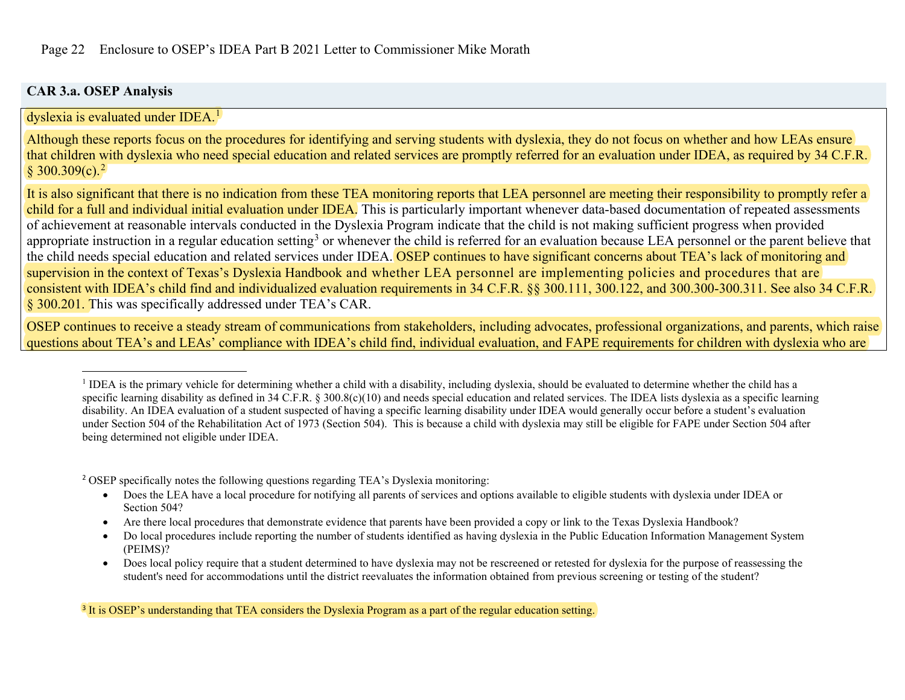## <span id="page-21-2"></span><span id="page-21-1"></span><span id="page-21-0"></span>**CAR 3.a. OSEP Analysis**

dyslexia is evaluated under IDEA.<sup>[1](#page-21-0)</sup>

Although these reports focus on the procedures for identifying and serving students with dyslexia, they do not focus on whether and how LEAs ensure that children with dyslexia who need special education and related services are promptly referred for an evaluation under IDEA, as required by 34 C.F.R.  $§ 300.309(c).^{2}$  $§ 300.309(c).^{2}$  $§ 300.309(c).^{2}$ 

It is also significant that there is no indication from these TEA monitoring reports that LEA personnel are meeting their responsibility to promptly refer a child for a full and individual initial evaluation under IDEA. This is particularly important whenever data-based documentation of repeated assessments of achievement at reasonable intervals conducted in the Dyslexia Program indicate that the child is not making sufficient progress when provided appropriate instruction in a regular education setting<sup>[3](#page-21-2)</sup> or whenever the child is referred for an evaluation because LEA personnel or the parent believe that the child needs special education and related services under IDEA. OSEP continues to have significant concerns about TEA's lack of monitoring and supervision in the context of Texas's Dyslexia Handbook and whether LEA personnel are implementing policies and procedures that are consistent with IDEA's child find and individualized evaluation requirements in 34 C.F.R. §§ 300.111, 300.122, and 300.300-300.311. See also 34 C.F.R. § 300.201. This was specifically addressed under TEA's CAR.

OSEP continues to receive a steady stream of communications from stakeholders, including advocates, professional organizations, and parents, which raise questions about TEA's and LEAs' compliance with IDEA's child find, individual evaluation, and FAPE requirements for children with dyslexia who are

<sup>2</sup> OSEP specifically notes the following questions regarding TEA's Dyslexia monitoring:

- Does the LEA have a local procedure for notifying all parents of services and options available to eligible students with dyslexia under IDEA or Section 504?
- Are there local procedures that demonstrate evidence that parents have been provided a copy or link to the Texas Dyslexia Handbook?
- Do local procedures include reporting the number of students identified as having dyslexia in the Public Education Information Management System (PEIMS)?
- Does local policy require that a student determined to have dyslexia may not be rescreened or retested for dyslexia for the purpose of reassessing the student's need for accommodations until the district reevaluates the information obtained from previous screening or testing of the student?

<sup>3</sup> It is OSEP's understanding that TEA considers the Dyslexia Program as a part of the regular education setting.

<sup>&</sup>lt;sup>1</sup> IDEA is the primary vehicle for determining whether a child with a disability, including dyslexia, should be evaluated to determine whether the child has a specific learning disability as defined in 34 C.F.R.  $\S 300.8(c)(10)$  and needs special education and related services. The IDEA lists dyslexia as a specific learning disability. An IDEA evaluation of a student suspected of having a specific learning disability under IDEA would generally occur before a student's evaluation under Section 504 of the Rehabilitation Act of 1973 (Section 504). This is because a child with dyslexia may still be eligible for FAPE under Section 504 after being determined not eligible under IDEA.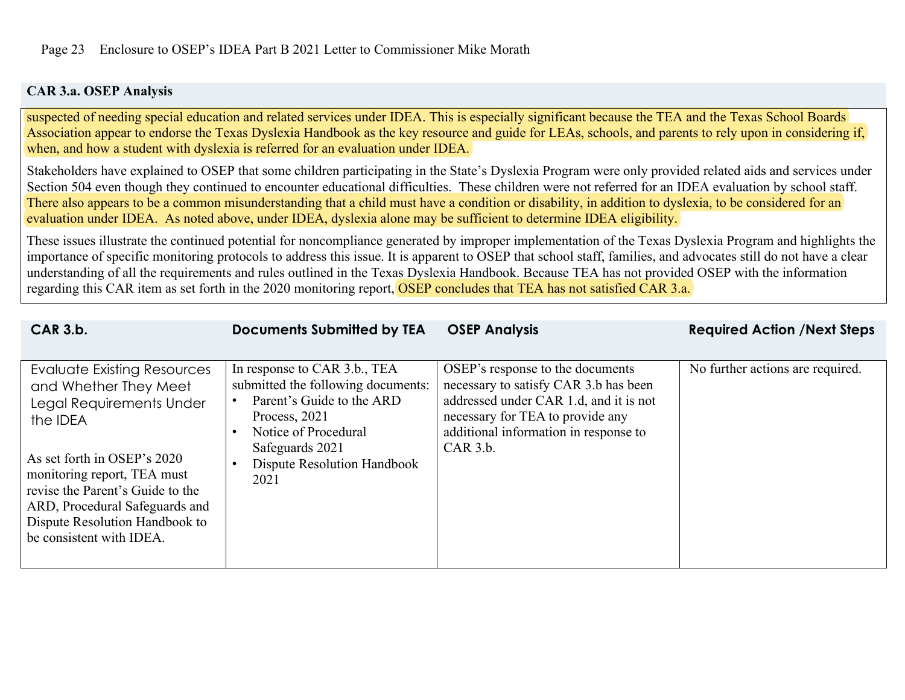## **CAR 3.a. OSEP Analysis**

suspected of needing special education and related services under IDEA. This is especially significant because the TEA and the Texas School Boards Association appear to endorse the Texas Dyslexia Handbook as the key resource and guide for LEAs, schools, and parents to rely upon in considering if, when, and how a student with dyslexia is referred for an evaluation under IDEA.

Stakeholders have explained to OSEP that some children participating in the State's Dyslexia Program were only provided related aids and services under Section 504 even though they continued to encounter educational difficulties. These children were not referred for an IDEA evaluation by school staff. There also appears to be a common misunderstanding that a child must have a condition or disability, in addition to dyslexia, to be considered for an evaluation under IDEA. As noted above, under IDEA, dyslexia alone may be sufficient to determine IDEA eligibility.

These issues illustrate the continued potential for noncompliance generated by improper implementation of the Texas Dyslexia Program and highlights the importance of specific monitoring protocols to address this issue. It is apparent to OSEP that school staff, families, and advocates still do not have a clear understanding of all the requirements and rules outlined in the Texas Dyslexia Handbook. Because TEA has not provided OSEP with the information regarding this CAR item as set forth in the 2020 monitoring report, OSEP concludes that TEA has not satisfied CAR 3.a.

| In response to CAR 3.b., TEA<br>OSEP's response to the documents<br>No further actions are required.<br><b>Evaluate Existing Resources</b><br>submitted the following documents:<br>necessary to satisfy CAR 3.b has been<br>and Whether They Meet<br>Parent's Guide to the ARD<br>addressed under CAR 1.d, and it is not<br>Legal Requirements Under<br>necessary for TEA to provide any<br>Process, 2021<br>the <b>IDEA</b><br>additional information in response to<br>Notice of Procedural<br>$CAR$ 3.b.<br>Safeguards 2021<br>As set forth in OSEP's 2020<br>Dispute Resolution Handbook<br>monitoring report, TEA must<br>2021<br>revise the Parent's Guide to the<br>ARD, Procedural Safeguards and<br>Dispute Resolution Handbook to<br>be consistent with IDEA. |  |
|--------------------------------------------------------------------------------------------------------------------------------------------------------------------------------------------------------------------------------------------------------------------------------------------------------------------------------------------------------------------------------------------------------------------------------------------------------------------------------------------------------------------------------------------------------------------------------------------------------------------------------------------------------------------------------------------------------------------------------------------------------------------------|--|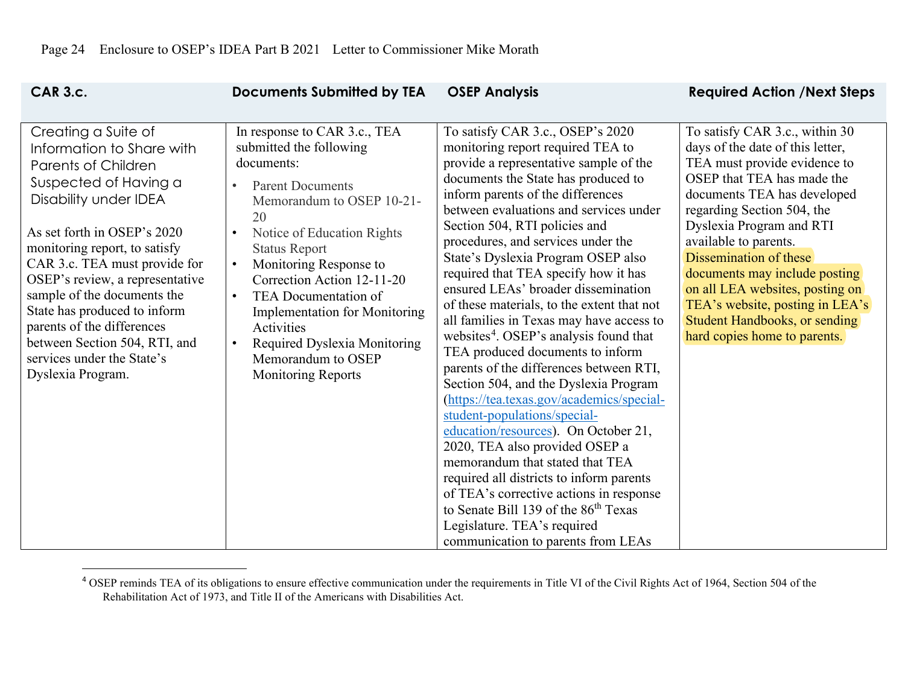<span id="page-23-0"></span>

| <b>CAR 3.c.</b>                                                                                                                                                                                                                                                                                                                                                                                                                                       | <b>Documents Submitted by TEA</b>                                                                                                                                                                                                                                                                                                                                                                                                                                                   | <b>OSEP Analysis</b>                                                                                                                                                                                                                                                                                                                                                                                                                                                                                                                                                                                                                                                                                                                                                                                                                                                                                                                                                                                                                                                                                                | <b>Required Action / Next Steps</b>                                                                                                                                                                                                                                                                                                                                                                                                                  |
|-------------------------------------------------------------------------------------------------------------------------------------------------------------------------------------------------------------------------------------------------------------------------------------------------------------------------------------------------------------------------------------------------------------------------------------------------------|-------------------------------------------------------------------------------------------------------------------------------------------------------------------------------------------------------------------------------------------------------------------------------------------------------------------------------------------------------------------------------------------------------------------------------------------------------------------------------------|---------------------------------------------------------------------------------------------------------------------------------------------------------------------------------------------------------------------------------------------------------------------------------------------------------------------------------------------------------------------------------------------------------------------------------------------------------------------------------------------------------------------------------------------------------------------------------------------------------------------------------------------------------------------------------------------------------------------------------------------------------------------------------------------------------------------------------------------------------------------------------------------------------------------------------------------------------------------------------------------------------------------------------------------------------------------------------------------------------------------|------------------------------------------------------------------------------------------------------------------------------------------------------------------------------------------------------------------------------------------------------------------------------------------------------------------------------------------------------------------------------------------------------------------------------------------------------|
| Creating a Suite of<br>Information to Share with<br><b>Parents of Children</b><br>Suspected of Having a<br>Disability under IDEA<br>As set forth in OSEP's 2020<br>monitoring report, to satisfy<br>CAR 3.c. TEA must provide for<br>OSEP's review, a representative<br>sample of the documents the<br>State has produced to inform<br>parents of the differences<br>between Section 504, RTI, and<br>services under the State's<br>Dyslexia Program. | In response to CAR 3.c., TEA<br>submitted the following<br>documents:<br><b>Parent Documents</b><br>$\bullet$<br>Memorandum to OSEP 10-21-<br>20<br>Notice of Education Rights<br>$\bullet$<br><b>Status Report</b><br>Monitoring Response to<br>$\bullet$<br>Correction Action 12-11-20<br>TEA Documentation of<br>$\bullet$<br><b>Implementation for Monitoring</b><br>Activities<br>Required Dyslexia Monitoring<br>$\bullet$<br>Memorandum to OSEP<br><b>Monitoring Reports</b> | To satisfy CAR 3.c., OSEP's 2020<br>monitoring report required TEA to<br>provide a representative sample of the<br>documents the State has produced to<br>inform parents of the differences<br>between evaluations and services under<br>Section 504, RTI policies and<br>procedures, and services under the<br>State's Dyslexia Program OSEP also<br>required that TEA specify how it has<br>ensured LEAs' broader dissemination<br>of these materials, to the extent that not<br>all families in Texas may have access to<br>websites <sup>4</sup> . OSEP's analysis found that<br>TEA produced documents to inform<br>parents of the differences between RTI,<br>Section 504, and the Dyslexia Program<br>(https://tea.texas.gov/academics/special-<br>student-populations/special-<br>education/resources). On October 21,<br>2020, TEA also provided OSEP a<br>memorandum that stated that TEA<br>required all districts to inform parents<br>of TEA's corrective actions in response<br>to Senate Bill 139 of the 86 <sup>th</sup> Texas<br>Legislature. TEA's required<br>communication to parents from LEAs | To satisfy CAR 3.c., within 30<br>days of the date of this letter,<br>TEA must provide evidence to<br>OSEP that TEA has made the<br>documents TEA has developed<br>regarding Section 504, the<br>Dyslexia Program and RTI<br>available to parents.<br>Dissemination of these<br>documents may include posting<br>on all LEA websites, posting on<br>TEA's website, posting in LEA's<br>Student Handbooks, or sending<br>hard copies home to parents. |

<sup>&</sup>lt;sup>4</sup> OSEP reminds TEA of its obligations to ensure effective communication under the requirements in Title VI of the Civil Rights Act of 1964, Section 504 of the Rehabilitation Act of 1973, and Title II of the Americans with Disabilities Act.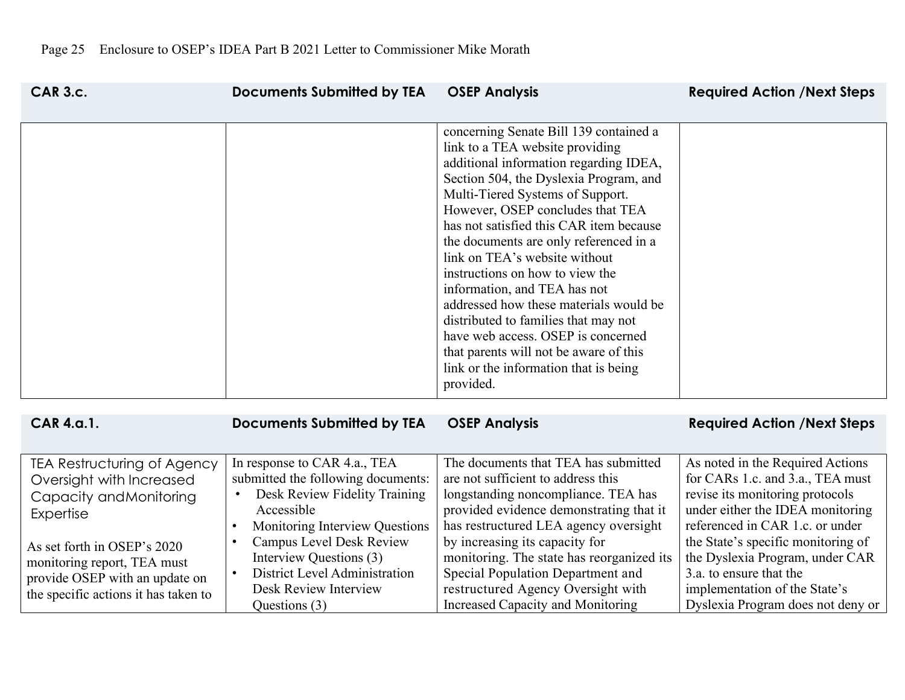|                                                                                                                                                                                                                                                |                                                                                                                                                                                                                                                                                                       |                                                                                                                                                                                                                                                                                                                                                                                                                                                                                                                                                                                                                                                        | <b>Required Action / Next Steps</b>                                                                                                                                                                                                                                                                                 |
|------------------------------------------------------------------------------------------------------------------------------------------------------------------------------------------------------------------------------------------------|-------------------------------------------------------------------------------------------------------------------------------------------------------------------------------------------------------------------------------------------------------------------------------------------------------|--------------------------------------------------------------------------------------------------------------------------------------------------------------------------------------------------------------------------------------------------------------------------------------------------------------------------------------------------------------------------------------------------------------------------------------------------------------------------------------------------------------------------------------------------------------------------------------------------------------------------------------------------------|---------------------------------------------------------------------------------------------------------------------------------------------------------------------------------------------------------------------------------------------------------------------------------------------------------------------|
|                                                                                                                                                                                                                                                |                                                                                                                                                                                                                                                                                                       | concerning Senate Bill 139 contained a<br>link to a TEA website providing<br>additional information regarding IDEA,<br>Section 504, the Dyslexia Program, and<br>Multi-Tiered Systems of Support.<br>However, OSEP concludes that TEA<br>has not satisfied this CAR item because<br>the documents are only referenced in a<br>link on TEA's website without<br>instructions on how to view the<br>information, and TEA has not<br>addressed how these materials would be<br>distributed to families that may not<br>have web access. OSEP is concerned<br>that parents will not be aware of this<br>link or the information that is being<br>provided. |                                                                                                                                                                                                                                                                                                                     |
| <b>CAR 4.a.1.</b>                                                                                                                                                                                                                              | <b>Documents Submitted by TEA</b>                                                                                                                                                                                                                                                                     | <b>OSEP Analysis</b>                                                                                                                                                                                                                                                                                                                                                                                                                                                                                                                                                                                                                                   | <b>Required Action /Next Steps</b>                                                                                                                                                                                                                                                                                  |
| TEA Restructuring of Agency<br>Oversight with Increased<br>Capacity and Monitoring<br><b>Expertise</b><br>As set forth in OSEP's 2020<br>monitoring report, TEA must<br>provide OSEP with an update on<br>the specific actions it has taken to | In response to CAR 4.a., TEA<br>submitted the following documents:<br>Desk Review Fidelity Training<br>Accessible<br>Monitoring Interview Questions<br>$\bullet$<br>Campus Level Desk Review<br>$\bullet$<br>Interview Questions (3)<br><b>District Level Administration</b><br>Desk Review Interview | The documents that TEA has submitted<br>are not sufficient to address this<br>longstanding noncompliance. TEA has<br>provided evidence demonstrating that it<br>has restructured LEA agency oversight<br>by increasing its capacity for<br>monitoring. The state has reorganized its<br>Special Population Department and<br>restructured Agency Oversight with                                                                                                                                                                                                                                                                                        | As noted in the Required Actions<br>for CARs 1.c. and 3.a., TEA must<br>revise its monitoring protocols<br>under either the IDEA monitoring<br>referenced in CAR 1.c. or under<br>the State's specific monitoring of<br>the Dyslexia Program, under CAR<br>3.a. to ensure that the<br>implementation of the State's |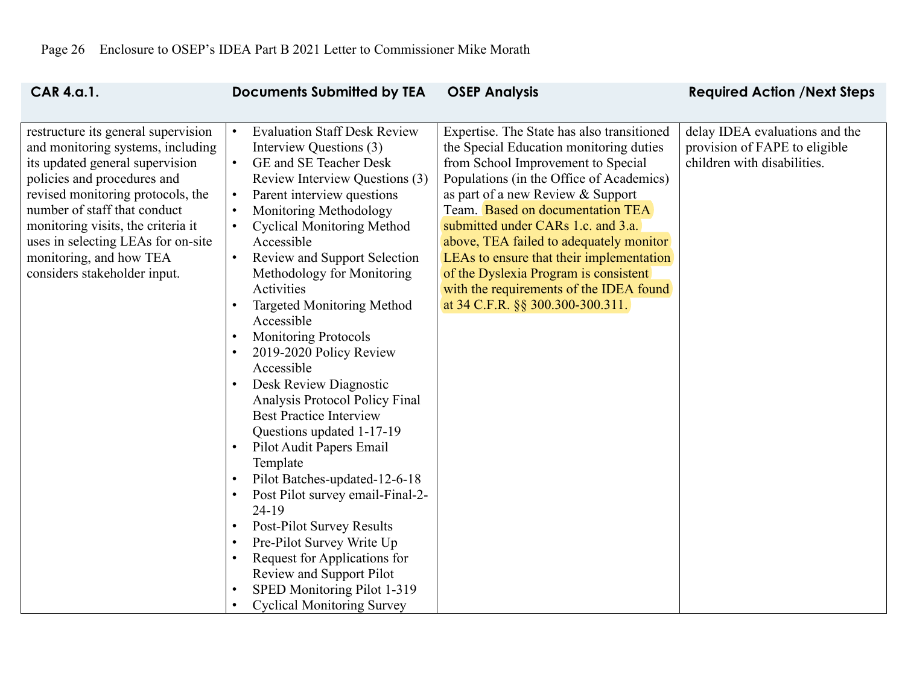| <b>CAR 4.a.1.</b>                                                                                                                                                                                                                                                                                                                                      | <b>Documents Submitted by TEA</b>                                                                                                                                                                                                                                                                                                                                                                                                                                                                                                                                                                                                                                                                                                                                                                                                                                                                                                                                                                                                                                                                                                        | <b>OSEP Analysis</b>                                                                                                                                                                                                                                                                                                                                                                                                                                                                                  | <b>Required Action /Next Steps</b>                                                             |
|--------------------------------------------------------------------------------------------------------------------------------------------------------------------------------------------------------------------------------------------------------------------------------------------------------------------------------------------------------|------------------------------------------------------------------------------------------------------------------------------------------------------------------------------------------------------------------------------------------------------------------------------------------------------------------------------------------------------------------------------------------------------------------------------------------------------------------------------------------------------------------------------------------------------------------------------------------------------------------------------------------------------------------------------------------------------------------------------------------------------------------------------------------------------------------------------------------------------------------------------------------------------------------------------------------------------------------------------------------------------------------------------------------------------------------------------------------------------------------------------------------|-------------------------------------------------------------------------------------------------------------------------------------------------------------------------------------------------------------------------------------------------------------------------------------------------------------------------------------------------------------------------------------------------------------------------------------------------------------------------------------------------------|------------------------------------------------------------------------------------------------|
| restructure its general supervision<br>and monitoring systems, including<br>its updated general supervision<br>policies and procedures and<br>revised monitoring protocols, the<br>number of staff that conduct<br>monitoring visits, the criteria it<br>uses in selecting LEAs for on-site<br>monitoring, and how TEA<br>considers stakeholder input. | <b>Evaluation Staff Desk Review</b><br>$\bullet$<br>Interview Questions (3)<br>GE and SE Teacher Desk<br>$\bullet$<br>Review Interview Questions (3)<br>Parent interview questions<br>$\bullet$<br>Monitoring Methodology<br>$\bullet$<br><b>Cyclical Monitoring Method</b><br>$\bullet$<br>Accessible<br><b>Review and Support Selection</b><br>$\bullet$<br>Methodology for Monitoring<br>Activities<br><b>Targeted Monitoring Method</b><br>$\bullet$<br>Accessible<br><b>Monitoring Protocols</b><br>$\bullet$<br>2019-2020 Policy Review<br>$\bullet$<br>Accessible<br>Desk Review Diagnostic<br>$\bullet$<br>Analysis Protocol Policy Final<br><b>Best Practice Interview</b><br>Questions updated 1-17-19<br>Pilot Audit Papers Email<br>$\bullet$<br>Template<br>Pilot Batches-updated-12-6-18<br>$\bullet$<br>Post Pilot survey email-Final-2-<br>$\bullet$<br>24-19<br>Post-Pilot Survey Results<br>$\bullet$<br>Pre-Pilot Survey Write Up<br>$\bullet$<br>Request for Applications for<br>$\bullet$<br>Review and Support Pilot<br>SPED Monitoring Pilot 1-319<br>$\bullet$<br><b>Cyclical Monitoring Survey</b><br>$\bullet$ | Expertise. The State has also transitioned<br>the Special Education monitoring duties<br>from School Improvement to Special<br>Populations (in the Office of Academics)<br>as part of a new Review & Support<br>Team. Based on documentation TEA<br>submitted under CARs 1.c. and 3.a.<br>above, TEA failed to adequately monitor<br>LEAs to ensure that their implementation<br>of the Dyslexia Program is consistent<br>with the requirements of the IDEA found<br>at 34 C.F.R. §§ 300.300-300.311. | delay IDEA evaluations and the<br>provision of FAPE to eligible<br>children with disabilities. |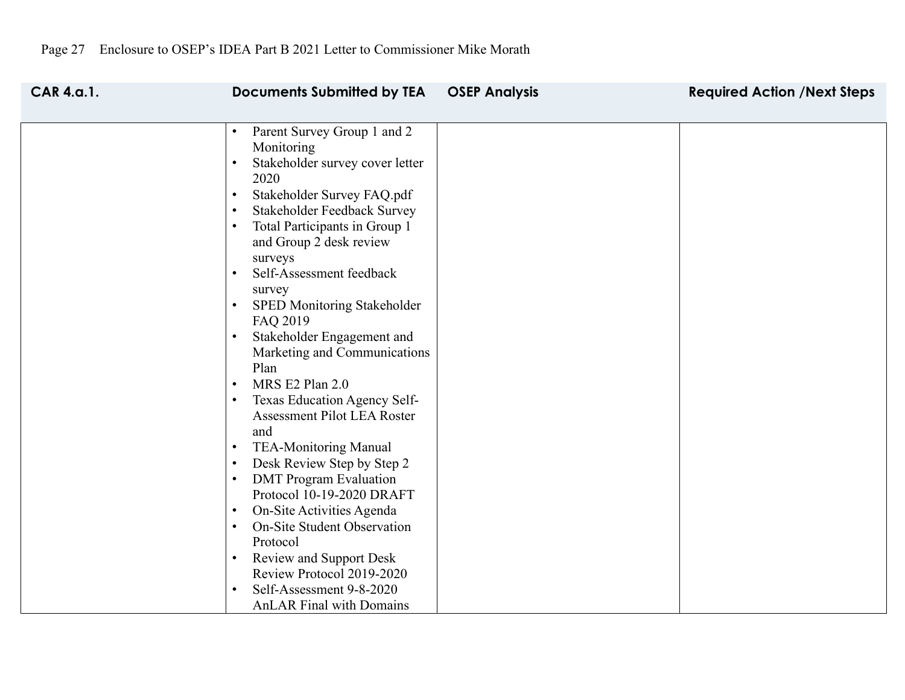| <b>CAR 4.a.1.</b> | <b>Documents Submitted by TEA</b>                                                                 | <b>OSEP Analysis</b> | <b>Required Action / Next Steps</b> |
|-------------------|---------------------------------------------------------------------------------------------------|----------------------|-------------------------------------|
|                   |                                                                                                   |                      |                                     |
|                   | Parent Survey Group 1 and 2<br>$\bullet$<br>Monitoring<br>Stakeholder survey cover letter<br>2020 |                      |                                     |
|                   | Stakeholder Survey FAQ.pdf<br>$\bullet$                                                           |                      |                                     |
|                   | Stakeholder Feedback Survey<br>$\bullet$                                                          |                      |                                     |
|                   | Total Participants in Group 1<br>$\bullet$<br>and Group 2 desk review                             |                      |                                     |
|                   | surveys<br>Self-Assessment feedback<br>$\bullet$<br>survey                                        |                      |                                     |
|                   | SPED Monitoring Stakeholder<br>$\bullet$<br>FAQ 2019                                              |                      |                                     |
|                   | Stakeholder Engagement and<br>$\bullet$<br>Marketing and Communications<br>Plan                   |                      |                                     |
|                   | MRS E2 Plan 2.0<br>$\bullet$                                                                      |                      |                                     |
|                   | Texas Education Agency Self-<br>$\bullet$<br>Assessment Pilot LEA Roster                          |                      |                                     |
|                   | and                                                                                               |                      |                                     |
|                   | <b>TEA-Monitoring Manual</b><br>$\bullet$                                                         |                      |                                     |
|                   | Desk Review Step by Step 2<br>$\bullet$                                                           |                      |                                     |
|                   | <b>DMT</b> Program Evaluation<br>$\bullet$                                                        |                      |                                     |
|                   | Protocol 10-19-2020 DRAFT                                                                         |                      |                                     |
|                   | On-Site Activities Agenda<br>$\bullet$<br><b>On-Site Student Observation</b><br>$\bullet$         |                      |                                     |
|                   | Protocol                                                                                          |                      |                                     |
|                   | <b>Review and Support Desk</b><br>$\bullet$                                                       |                      |                                     |
|                   | Review Protocol 2019-2020                                                                         |                      |                                     |
|                   | Self-Assessment 9-8-2020                                                                          |                      |                                     |
|                   | <b>AnLAR Final with Domains</b>                                                                   |                      |                                     |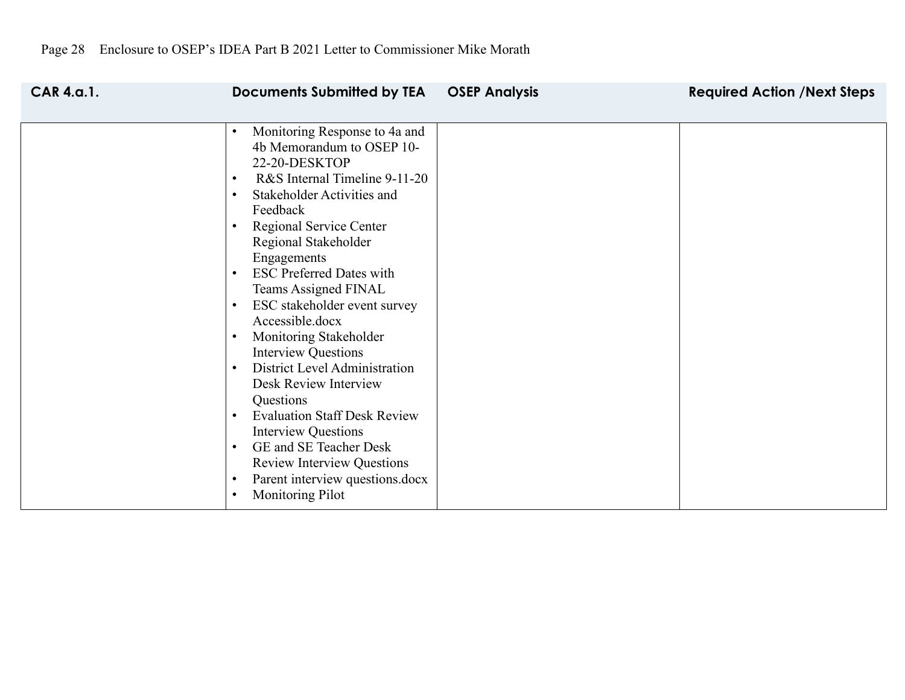| <b>CAR 4.a.1.</b> | <b>Documents Submitted by TEA</b><br><b>OSEP Analysis</b> | <b>Required Action /Next Steps</b> |
|-------------------|-----------------------------------------------------------|------------------------------------|
|                   |                                                           |                                    |
|                   | Monitoring Response to 4a and<br>$\bullet$                |                                    |
|                   | 4b Memorandum to OSEP 10-                                 |                                    |
|                   | 22-20-DESKTOP                                             |                                    |
|                   | R&S Internal Timeline 9-11-20<br>$\bullet$                |                                    |
|                   | Stakeholder Activities and<br>$\bullet$                   |                                    |
|                   | Feedback                                                  |                                    |
|                   | Regional Service Center                                   |                                    |
|                   | Regional Stakeholder                                      |                                    |
|                   | Engagements                                               |                                    |
|                   | <b>ESC Preferred Dates with</b><br>$\bullet$              |                                    |
|                   | Teams Assigned FINAL                                      |                                    |
|                   | ESC stakeholder event survey                              |                                    |
|                   | Accessible.docx                                           |                                    |
|                   | Monitoring Stakeholder                                    |                                    |
|                   | <b>Interview Questions</b>                                |                                    |
|                   | District Level Administration<br>$\bullet$                |                                    |
|                   | Desk Review Interview                                     |                                    |
|                   | Questions                                                 |                                    |
|                   | <b>Evaluation Staff Desk Review</b><br>$\bullet$          |                                    |
|                   | <b>Interview Questions</b>                                |                                    |
|                   | GE and SE Teacher Desk<br>$\bullet$                       |                                    |
|                   | <b>Review Interview Questions</b>                         |                                    |
|                   | Parent interview questions.docx<br>$\bullet$              |                                    |
|                   | <b>Monitoring Pilot</b>                                   |                                    |
|                   |                                                           |                                    |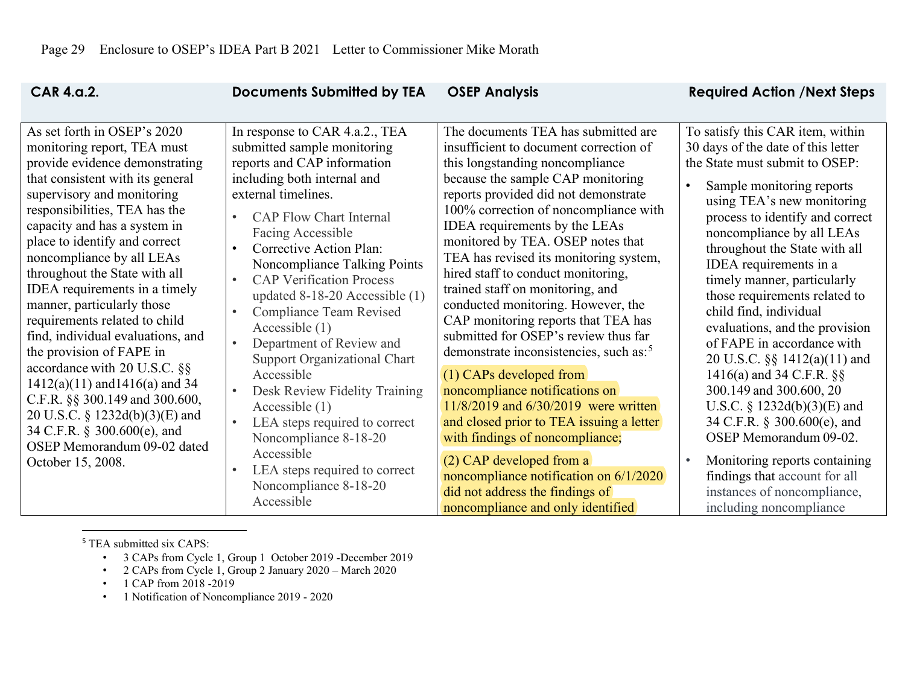<span id="page-28-0"></span>

| <b>CAR 4.a.2.</b>                                                                                                                                                                                                                                                                                                                                                                                                                                                                                                                                                                                                                                                                                                            | <b>Documents Submitted by TEA</b>                                                                                                                                                                                                                                                                                                                                                                                                                                                                                                                                                                                                                                                                                                                                                             | <b>OSEP Analysis</b>                                                                                                                                                                                                                                                                                                                                                                                                                                                                                                                                                                                                                                                                                                                                                                                                                                                                                                                            | <b>Required Action / Next Steps</b>                                                                                                                                                                                                                                                                                                                                                                                                                                                                                                                                                                                                                                                                                                                                     |
|------------------------------------------------------------------------------------------------------------------------------------------------------------------------------------------------------------------------------------------------------------------------------------------------------------------------------------------------------------------------------------------------------------------------------------------------------------------------------------------------------------------------------------------------------------------------------------------------------------------------------------------------------------------------------------------------------------------------------|-----------------------------------------------------------------------------------------------------------------------------------------------------------------------------------------------------------------------------------------------------------------------------------------------------------------------------------------------------------------------------------------------------------------------------------------------------------------------------------------------------------------------------------------------------------------------------------------------------------------------------------------------------------------------------------------------------------------------------------------------------------------------------------------------|-------------------------------------------------------------------------------------------------------------------------------------------------------------------------------------------------------------------------------------------------------------------------------------------------------------------------------------------------------------------------------------------------------------------------------------------------------------------------------------------------------------------------------------------------------------------------------------------------------------------------------------------------------------------------------------------------------------------------------------------------------------------------------------------------------------------------------------------------------------------------------------------------------------------------------------------------|-------------------------------------------------------------------------------------------------------------------------------------------------------------------------------------------------------------------------------------------------------------------------------------------------------------------------------------------------------------------------------------------------------------------------------------------------------------------------------------------------------------------------------------------------------------------------------------------------------------------------------------------------------------------------------------------------------------------------------------------------------------------------|
| As set forth in OSEP's 2020<br>monitoring report, TEA must<br>provide evidence demonstrating<br>that consistent with its general<br>supervisory and monitoring<br>responsibilities, TEA has the<br>capacity and has a system in<br>place to identify and correct<br>noncompliance by all LEAs<br>throughout the State with all<br>IDEA requirements in a timely<br>manner, particularly those<br>requirements related to child<br>find, individual evaluations, and<br>the provision of FAPE in<br>accordance with 20 U.S.C. §§<br>$1412(a)(11)$ and $1416(a)$ and 34<br>C.F.R. §§ 300.149 and 300.600,<br>20 U.S.C. § 1232d(b)(3)(E) and<br>34 C.F.R. § 300.600(e), and<br>OSEP Memorandum 09-02 dated<br>October 15, 2008. | In response to CAR 4.a.2., TEA<br>submitted sample monitoring<br>reports and CAP information<br>including both internal and<br>external timelines.<br><b>CAP Flow Chart Internal</b><br>$\bullet$<br>Facing Accessible<br>Corrective Action Plan:<br>$\bullet$<br>Noncompliance Talking Points<br><b>CAP Verification Process</b><br>$\bullet$<br>updated 8-18-20 Accessible (1)<br><b>Compliance Team Revised</b><br>$\bullet$<br>Accessible $(1)$<br>Department of Review and<br>$\bullet$<br><b>Support Organizational Chart</b><br>Accessible<br>Desk Review Fidelity Training<br>$\bullet$<br>Accessible $(1)$<br>$\bullet$<br>LEA steps required to correct<br>Noncompliance 8-18-20<br>Accessible<br>LEA steps required to correct<br>$\bullet$<br>Noncompliance 8-18-20<br>Accessible | The documents TEA has submitted are<br>insufficient to document correction of<br>this longstanding noncompliance<br>because the sample CAP monitoring<br>reports provided did not demonstrate<br>100% correction of noncompliance with<br>IDEA requirements by the LEAs<br>monitored by TEA. OSEP notes that<br>TEA has revised its monitoring system,<br>hired staff to conduct monitoring,<br>trained staff on monitoring, and<br>conducted monitoring. However, the<br>CAP monitoring reports that TEA has<br>submitted for OSEP's review thus far<br>demonstrate inconsistencies, such as: <sup>5</sup><br>(1) CAPs developed from<br>noncompliance notifications on<br>11/8/2019 and 6/30/2019 were written<br>and closed prior to TEA issuing a letter<br>with findings of noncompliance;<br>$(2)$ CAP developed from a<br>noncompliance notification on 6/1/2020<br>did not address the findings of<br>noncompliance and only identified | To satisfy this CAR item, within<br>30 days of the date of this letter<br>the State must submit to OSEP:<br>Sample monitoring reports<br>using TEA's new monitoring<br>process to identify and correct<br>noncompliance by all LEAs<br>throughout the State with all<br>IDEA requirements in a<br>timely manner, particularly<br>those requirements related to<br>child find, individual<br>evaluations, and the provision<br>of FAPE in accordance with<br>20 U.S.C. §§ 1412(a)(11) and<br>1416(a) and 34 C.F.R. $\S$<br>300.149 and 300.600, 20<br>U.S.C. § $1232d(b)(3)(E)$ and<br>34 C.F.R. § 300.600(e), and<br>OSEP Memorandum 09-02.<br>Monitoring reports containing<br>findings that account for all<br>instances of noncompliance,<br>including noncompliance |

<sup>5</sup> TEA submitted six CAPS:

- 3 CAPs from Cycle 1, Group 1 October 2019 -December 2019
- 2 CAPs from Cycle 1, Group 2 January 2020 March 2020
- 1 CAP from 2018 -2019
- 1 Notification of Noncompliance 2019 2020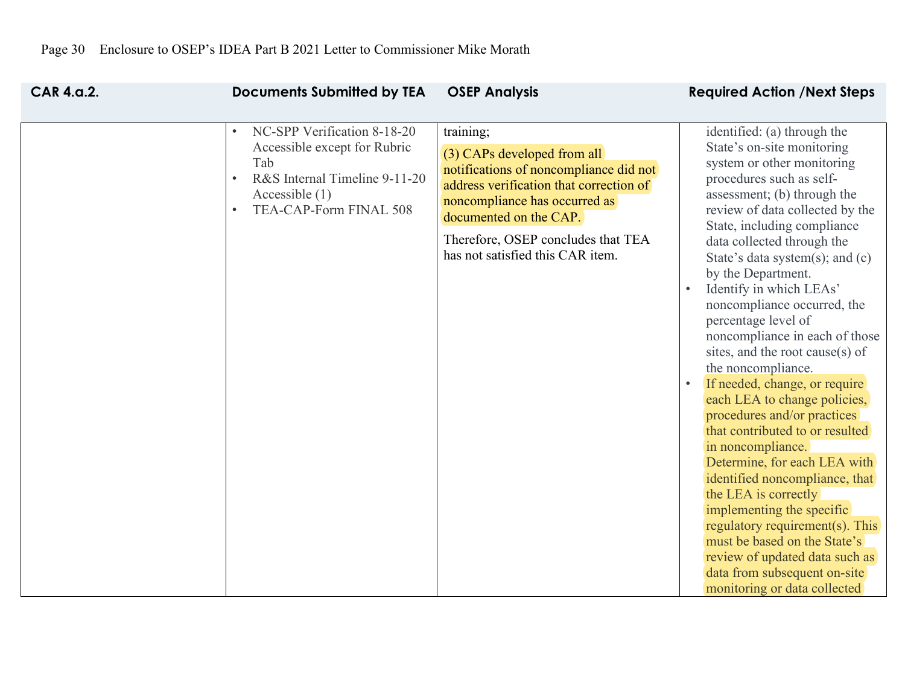| <b>CAR 4.a.2.</b> | <b>Documents Submitted by TEA</b>                                                                                                                                                        | <b>OSEP Analysis</b>                                                                                                                                                                                                                                               | <b>Required Action /Next Steps</b>                                                                                                                                                                                                                                                                                                                                                                                                                                                                                                                                                                                                                                                                                                                                                                                                                                                                                                            |
|-------------------|------------------------------------------------------------------------------------------------------------------------------------------------------------------------------------------|--------------------------------------------------------------------------------------------------------------------------------------------------------------------------------------------------------------------------------------------------------------------|-----------------------------------------------------------------------------------------------------------------------------------------------------------------------------------------------------------------------------------------------------------------------------------------------------------------------------------------------------------------------------------------------------------------------------------------------------------------------------------------------------------------------------------------------------------------------------------------------------------------------------------------------------------------------------------------------------------------------------------------------------------------------------------------------------------------------------------------------------------------------------------------------------------------------------------------------|
|                   | NC-SPP Verification 8-18-20<br>$\bullet$<br>Accessible except for Rubric<br>Tab<br>R&S Internal Timeline 9-11-20<br>$\bullet$<br>Accessible $(1)$<br>TEA-CAP-Form FINAL 508<br>$\bullet$ | training;<br>(3) CAPs developed from all<br>notifications of noncompliance did not<br>address verification that correction of<br>noncompliance has occurred as<br>documented on the CAP.<br>Therefore, OSEP concludes that TEA<br>has not satisfied this CAR item. | identified: (a) through the<br>State's on-site monitoring<br>system or other monitoring<br>procedures such as self-<br>assessment; (b) through the<br>review of data collected by the<br>State, including compliance<br>data collected through the<br>State's data system(s); and $(c)$<br>by the Department.<br>Identify in which LEAs'<br>noncompliance occurred, the<br>percentage level of<br>noncompliance in each of those<br>sites, and the root cause(s) of<br>the noncompliance.<br>If needed, change, or require<br>each LEA to change policies,<br>procedures and/or practices<br>that contributed to or resulted<br>in noncompliance.<br>Determine, for each LEA with<br>identified noncompliance, that<br>the LEA is correctly<br>implementing the specific<br>regulatory requirement(s). This<br>must be based on the State's<br>review of updated data such as<br>data from subsequent on-site<br>monitoring or data collected |